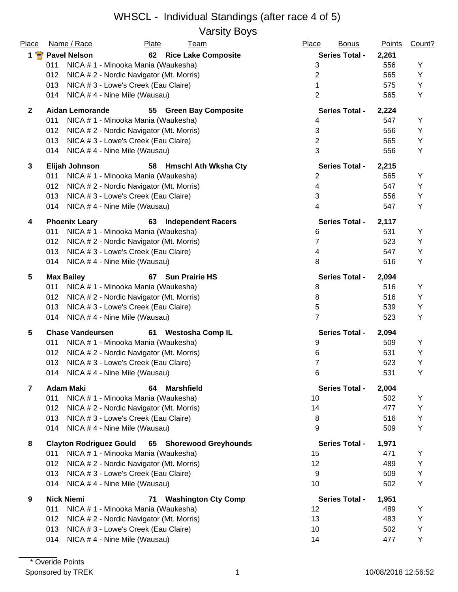Varsity Boys

| Place          | Name / Race                    | Plate                                    | <b>Team</b>                 | Place          | <b>Bonus</b>          | <b>Points</b> | Count? |
|----------------|--------------------------------|------------------------------------------|-----------------------------|----------------|-----------------------|---------------|--------|
|                | 1 Pavel Nelson                 | 62                                       | <b>Rice Lake Composite</b>  |                | <b>Series Total -</b> | 2,261         |        |
|                | 011                            | NICA # 1 - Minooka Mania (Waukesha)      |                             | 3              |                       | 556           | Υ      |
|                | 012                            | NICA # 2 - Nordic Navigator (Mt. Morris) |                             | $\overline{2}$ |                       | 565           | Y      |
|                | 013                            | NICA # 3 - Lowe's Creek (Eau Claire)     |                             | 1              |                       | 575           | Y      |
|                | 014                            | NICA #4 - Nine Mile (Wausau)             |                             | $\overline{2}$ |                       | 565           | Υ      |
| $\mathbf{2}$   | <b>Aidan Lemorande</b>         | 55                                       | <b>Green Bay Composite</b>  |                | <b>Series Total -</b> | 2,224         |        |
|                | 011                            | NICA # 1 - Minooka Mania (Waukesha)      |                             | 4              |                       | 547           | Y      |
|                | 012                            | NICA # 2 - Nordic Navigator (Mt. Morris) |                             | 3              |                       | 556           | Υ      |
|                | 013                            | NICA # 3 - Lowe's Creek (Eau Claire)     |                             | $\overline{2}$ |                       | 565           | Y      |
|                | 014                            | NICA #4 - Nine Mile (Wausau)             |                             | 3              |                       | 556           | Υ      |
| 3              | Elijah Johnson                 | 58                                       | <b>Hmschl Ath Wksha Cty</b> |                | <b>Series Total -</b> | 2,215         |        |
|                | 011                            | NICA # 1 - Minooka Mania (Waukesha)      |                             | 2              |                       | 565           | Υ      |
|                | 012                            | NICA # 2 - Nordic Navigator (Mt. Morris) |                             | 4              |                       | 547           | Υ      |
|                | 013                            | NICA # 3 - Lowe's Creek (Eau Claire)     |                             | 3              |                       | 556           | Υ      |
|                | 014                            | NICA # 4 - Nine Mile (Wausau)            |                             | 4              |                       | 547           | Υ      |
| 4              | <b>Phoenix Leary</b>           | 63                                       | <b>Independent Racers</b>   |                | <b>Series Total -</b> | 2,117         |        |
|                | 011                            | NICA # 1 - Minooka Mania (Waukesha)      |                             | 6              |                       | 531           | Y      |
|                | 012                            | NICA # 2 - Nordic Navigator (Mt. Morris) |                             | 7              |                       | 523           | Υ      |
|                | 013                            | NICA # 3 - Lowe's Creek (Eau Claire)     |                             | 4              |                       | 547           | Υ      |
|                | 014                            | NICA #4 - Nine Mile (Wausau)             |                             | 8              |                       | 516           | Υ      |
| 5              | <b>Max Bailey</b>              | 67                                       | <b>Sun Prairie HS</b>       |                | <b>Series Total -</b> | 2,094         |        |
|                | 011                            | NICA # 1 - Minooka Mania (Waukesha)      |                             | 8              |                       | 516           | Υ      |
|                | 012                            | NICA # 2 - Nordic Navigator (Mt. Morris) |                             | 8              |                       | 516           | Υ      |
|                | 013                            | NICA # 3 - Lowe's Creek (Eau Claire)     |                             | 5              |                       | 539           | Υ      |
|                | 014                            | NICA #4 - Nine Mile (Wausau)             |                             | $\overline{7}$ |                       | 523           | Υ      |
| 5              | <b>Chase Vandeursen</b>        | 61                                       | <b>Westosha Comp IL</b>     |                | <b>Series Total -</b> | 2,094         |        |
|                | 011                            | NICA # 1 - Minooka Mania (Waukesha)      |                             | 9              |                       | 509           | Y      |
|                | 012                            | NICA #2 - Nordic Navigator (Mt. Morris)  |                             | 6              |                       | 531           | Υ      |
|                | 013                            | NICA # 3 - Lowe's Creek (Eau Claire)     |                             | 7              |                       | 523           | Y      |
|                | 014                            | NICA # 4 - Nine Mile (Wausau)            |                             | 6              |                       | 531           | Υ      |
| $\overline{7}$ | <b>Adam Maki</b>               | 64                                       | <b>Marshfield</b>           |                | <b>Series Total -</b> | 2,004         |        |
|                | 011                            | NICA # 1 - Minooka Mania (Waukesha)      |                             | 10             |                       | 502           | Υ      |
|                | 012                            | NICA # 2 - Nordic Navigator (Mt. Morris) |                             | 14             |                       | 477           | Υ      |
|                | 013                            | NICA # 3 - Lowe's Creek (Eau Claire)     |                             | 8              |                       | 516           | Υ      |
|                | 014                            | NICA #4 - Nine Mile (Wausau)             |                             | 9              |                       | 509           | Y      |
| 8              | <b>Clayton Rodriguez Gould</b> |                                          | 65 Shorewood Greyhounds     |                | <b>Series Total -</b> | 1,971         |        |
|                | 011                            | NICA # 1 - Minooka Mania (Waukesha)      |                             | 15             |                       | 471           | Y      |
|                | 012                            | NICA # 2 - Nordic Navigator (Mt. Morris) |                             | 12             |                       | 489           | Υ      |
|                | 013                            | NICA # 3 - Lowe's Creek (Eau Claire)     |                             | 9              |                       | 509           | Υ      |
|                | 014                            | NICA #4 - Nine Mile (Wausau)             |                             | 10             |                       | 502           | Υ      |
| 9              | <b>Nick Niemi</b>              | 71                                       | <b>Washington Cty Comp</b>  |                | <b>Series Total -</b> | 1,951         |        |
|                | 011                            | NICA # 1 - Minooka Mania (Waukesha)      |                             | 12             |                       | 489           | Υ      |
|                | 012                            | NICA # 2 - Nordic Navigator (Mt. Morris) |                             | 13             |                       | 483           | Υ      |
|                | 013                            | NICA # 3 - Lowe's Creek (Eau Claire)     |                             | 10             |                       | 502           | Υ      |
|                | 014                            | NICA #4 - Nine Mile (Wausau)             |                             | 14             |                       | 477           | Υ      |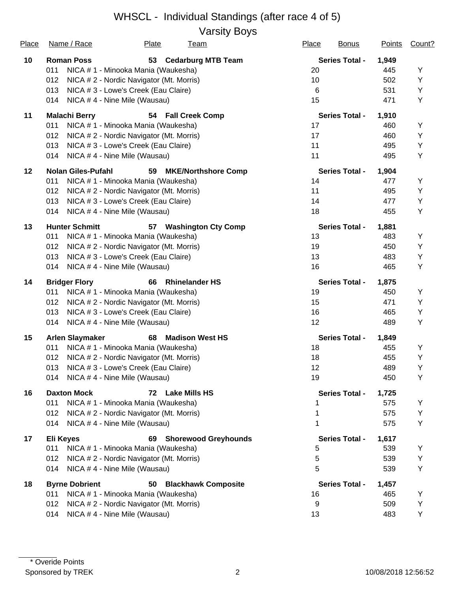Varsity Boys

| Place | Name / Race                          | Plate                                    | <u>Team</u>                | Place | <b>Bonus</b>          | <b>Points</b> | Count? |
|-------|--------------------------------------|------------------------------------------|----------------------------|-------|-----------------------|---------------|--------|
| 10    | <b>Roman Poss</b>                    | 53                                       | <b>Cedarburg MTB Team</b>  |       | <b>Series Total -</b> | 1,949         |        |
|       | 011                                  | NICA # 1 - Minooka Mania (Waukesha)      |                            | 20    |                       | 445           | Y      |
|       | 012                                  | NICA # 2 - Nordic Navigator (Mt. Morris) |                            | 10    |                       | 502           | Υ      |
|       | 013                                  | NICA # 3 - Lowe's Creek (Eau Claire)     |                            | 6     |                       | 531           | Υ      |
|       | 014                                  | NICA #4 - Nine Mile (Wausau)             |                            | 15    |                       | 471           | Y      |
| 11    | <b>Malachi Berry</b>                 |                                          | 54 Fall Creek Comp         |       | <b>Series Total -</b> | 1,910         |        |
|       | 011                                  | NICA # 1 - Minooka Mania (Waukesha)      |                            | 17    |                       | 460           | Υ      |
|       | 012                                  | NICA # 2 - Nordic Navigator (Mt. Morris) |                            | 17    |                       | 460           | Υ      |
|       | 013                                  | NICA # 3 - Lowe's Creek (Eau Claire)     |                            | 11    |                       | 495           | Υ      |
|       | 014                                  | NICA #4 - Nine Mile (Wausau)             |                            | 11    |                       | 495           | Υ      |
| 12    | <b>Nolan Giles-Pufahl</b>            | 59                                       | <b>MKE/Northshore Comp</b> |       | <b>Series Total -</b> | 1,904         |        |
|       | 011                                  | NICA # 1 - Minooka Mania (Waukesha)      |                            | 14    |                       | 477           | Y      |
|       | 012                                  | NICA # 2 - Nordic Navigator (Mt. Morris) |                            | 11    |                       | 495           | Υ      |
|       | 013                                  | NICA # 3 - Lowe's Creek (Eau Claire)     |                            | 14    |                       | 477           | Υ      |
|       | 014                                  | NICA #4 - Nine Mile (Wausau)             |                            | 18    |                       | 455           | Υ      |
| 13    | <b>Hunter Schmitt</b>                | 57                                       | <b>Washington Cty Comp</b> |       | <b>Series Total -</b> | 1,881         |        |
|       | 011                                  | NICA #1 - Minooka Mania (Waukesha)       |                            | 13    |                       | 483           | Υ      |
|       | 012                                  | NICA # 2 - Nordic Navigator (Mt. Morris) |                            | 19    |                       | 450           | Υ      |
|       | 013                                  | NICA # 3 - Lowe's Creek (Eau Claire)     |                            | 13    |                       | 483           | Υ      |
|       | 014                                  | NICA #4 - Nine Mile (Wausau)             |                            | 16    |                       | 465           | Υ      |
| 14    | <b>Bridger Flory</b>                 | 66                                       | <b>Rhinelander HS</b>      |       | <b>Series Total -</b> | 1,875         |        |
|       | 011                                  | NICA # 1 - Minooka Mania (Waukesha)      |                            | 19    |                       | 450           | Υ      |
|       | 012                                  | NICA # 2 - Nordic Navigator (Mt. Morris) |                            | 15    |                       | 471           | Υ      |
|       | 013                                  | NICA # 3 - Lowe's Creek (Eau Claire)     |                            | 16    |                       | 465           | Υ      |
|       | 014                                  | NICA #4 - Nine Mile (Wausau)             |                            | 12    |                       | 489           | Υ      |
| 15    | <b>Arlen Slaymaker</b>               | 68                                       | <b>Madison West HS</b>     |       | <b>Series Total -</b> | 1,849         |        |
|       | 011                                  | NICA # 1 - Minooka Mania (Waukesha)      |                            | 18    |                       | 455           | Y      |
|       | 012                                  | NICA # 2 - Nordic Navigator (Mt. Morris) |                            | 18    |                       | 455           | Υ      |
|       | 013                                  | NICA # 3 - Lowe's Creek (Eau Claire)     |                            | 12    |                       | 489           | Υ      |
|       | NICA # 4 - Nine Mile (Wausau)<br>014 |                                          |                            | 19    |                       | 450           | Y      |
| 16    | <b>Daxton Mock</b>                   |                                          | 72 Lake Mills HS           |       | <b>Series Total -</b> | 1,725         |        |
|       | 011                                  | NICA # 1 - Minooka Mania (Waukesha)      |                            |       |                       | 575           | Υ      |
|       | 012                                  | NICA # 2 - Nordic Navigator (Mt. Morris) |                            |       |                       | 575           | Υ      |
|       | 014                                  | NICA #4 - Nine Mile (Wausau)             |                            | 1     |                       | 575           | Y      |
| 17    | <b>Eli Keyes</b>                     |                                          | 69 Shorewood Greyhounds    |       | <b>Series Total -</b> | 1,617         |        |
|       | 011                                  | NICA # 1 - Minooka Mania (Waukesha)      |                            | 5     |                       | 539           | Υ      |
|       | 012                                  | NICA # 2 - Nordic Navigator (Mt. Morris) |                            | 5     |                       | 539           | Υ      |
|       | 014                                  | NICA #4 - Nine Mile (Wausau)             |                            | 5     |                       | 539           | Υ      |
| 18    | <b>Byrne Dobrient</b>                | 50                                       | <b>Blackhawk Composite</b> |       | <b>Series Total -</b> | 1,457         |        |
|       | 011                                  | NICA # 1 - Minooka Mania (Waukesha)      |                            | 16    |                       | 465           | Υ      |
|       | 012                                  | NICA # 2 - Nordic Navigator (Mt. Morris) |                            | 9     |                       | 509           | Υ      |
|       | 014                                  | NICA #4 - Nine Mile (Wausau)             |                            | 13    |                       | 483           | Υ      |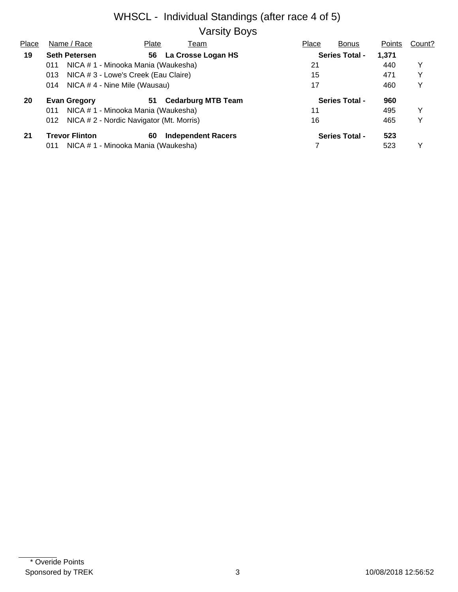#### WHSCL - Individual Standings (after race 4 of 5) Varsity Boys

| Place                               | Name / Race                                 | Plate                                    | Team                      | Place | <b>Bonus</b>          | Points | Count? |
|-------------------------------------|---------------------------------------------|------------------------------------------|---------------------------|-------|-----------------------|--------|--------|
| 19                                  | <b>Seth Petersen</b>                        | 56                                       | La Crosse Logan HS        |       | <b>Series Total -</b> | 1,371  |        |
|                                     | 011                                         | NICA # 1 - Minooka Mania (Waukesha)      |                           | 21    |                       | 440    | Y      |
|                                     | NICA # 3 - Lowe's Creek (Eau Claire)<br>013 |                                          | 15                        |       | 471                   | Y      |        |
| NICA #4 - Nine Mile (Wausau)<br>014 |                                             | 17                                       |                           |       | Y                     |        |        |
| 20                                  | <b>Evan Gregory</b>                         | 51                                       | <b>Cedarburg MTB Team</b> |       | <b>Series Total -</b> | 960    |        |
|                                     | 011                                         | NICA # 1 - Minooka Mania (Waukesha)      |                           | 11    |                       | 495    | v      |
|                                     | 012                                         | NICA # 2 - Nordic Navigator (Mt. Morris) |                           | 16    |                       | 465    | v      |
| 21                                  | <b>Trevor Flinton</b>                       | 60                                       | <b>Independent Racers</b> |       | <b>Series Total -</b> | 523    |        |
|                                     | 011                                         | NICA # 1 - Minooka Mania (Waukesha)      |                           |       |                       | 523    | v      |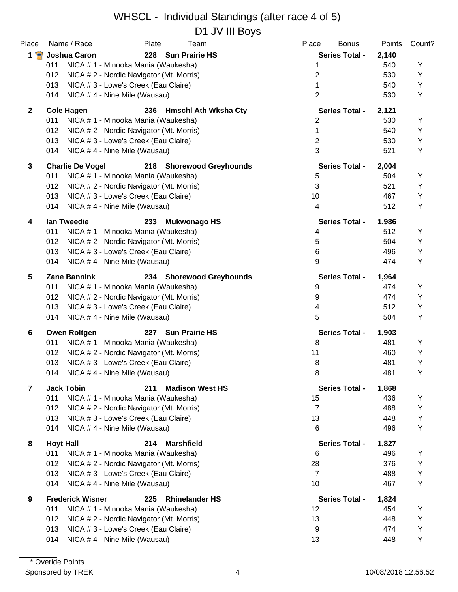#### WHSCL - Individual Standings (after race 4 of 5) D1 JV III Bovs

| Place                   | Name / Race<br><b>Plate</b><br><b>Team</b>              | Place<br><b>Bonus</b> | <b>Points</b> | Count? |
|-------------------------|---------------------------------------------------------|-----------------------|---------------|--------|
| 1 P                     | 228 Sun Prairie HS<br>Joshua Caron                      | <b>Series Total -</b> | 2,140         |        |
|                         | 011<br>NICA # 1 - Minooka Mania (Waukesha)              | 1                     | 540           | Υ      |
|                         | 012<br>NICA # 2 - Nordic Navigator (Mt. Morris)         | 2                     | 530           | Y      |
|                         | 013<br>NICA # 3 - Lowe's Creek (Eau Claire)             |                       | 540           | Y      |
|                         | 014<br>NICA # 4 - Nine Mile (Wausau)                    | $\overline{2}$        | 530           | Y      |
| $\mathbf{2}$            | <b>Cole Hagen</b><br>236 Hmschl Ath Wksha Cty           | <b>Series Total -</b> | 2,121         |        |
|                         | NICA # 1 - Minooka Mania (Waukesha)<br>011              | $\overline{2}$        | 530           | Υ      |
|                         | 012<br>NICA # 2 - Nordic Navigator (Mt. Morris)         | 1                     | 540           | Υ      |
|                         | 013<br>NICA # 3 - Lowe's Creek (Eau Claire)             | $\overline{2}$        | 530           | Y      |
|                         | 014<br>NICA #4 - Nine Mile (Wausau)                     | 3                     | 521           | Y      |
| 3                       | <b>Charlie De Vogel</b><br>218 Shorewood Greyhounds     | <b>Series Total -</b> | 2,004         |        |
|                         | 011<br>NICA # 1 - Minooka Mania (Waukesha)              | 5                     | 504           | Υ      |
|                         | 012<br>NICA # 2 - Nordic Navigator (Mt. Morris)         | 3                     | 521           | Υ      |
|                         | 013<br>NICA # 3 - Lowe's Creek (Eau Claire)             | 10                    | 467           | Y      |
|                         | NICA #4 - Nine Mile (Wausau)<br>014                     | 4                     | 512           | Y      |
| 4                       | lan Tweedie<br>233<br><b>Mukwonago HS</b>               | <b>Series Total -</b> | 1,986         |        |
|                         | 011<br>NICA # 1 - Minooka Mania (Waukesha)              | 4                     | 512           | Y      |
|                         | 012<br>NICA # 2 - Nordic Navigator (Mt. Morris)         | 5                     | 504           | Y      |
|                         | 013<br>NICA # 3 - Lowe's Creek (Eau Claire)             | 6                     | 496           | Y      |
|                         | 014<br>NICA #4 - Nine Mile (Wausau)                     | 9                     | 474           | Y      |
| 5                       | <b>Zane Bannink</b><br>234 Shorewood Greyhounds         | <b>Series Total -</b> | 1,964         |        |
|                         | 011<br>NICA # 1 - Minooka Mania (Waukesha)              | 9                     | 474           | Y      |
|                         | 012<br>NICA # 2 - Nordic Navigator (Mt. Morris)         | 9                     | 474           | Y      |
|                         | 013<br>NICA # 3 - Lowe's Creek (Eau Claire)             | 4                     | 512           | Y      |
|                         | NICA #4 - Nine Mile (Wausau)<br>014                     | 5                     | 504           | Y      |
| 6                       | <b>Owen Roltgen</b><br><b>Sun Prairie HS</b><br>227     | <b>Series Total -</b> | 1,903         |        |
|                         | 011<br>NICA # 1 - Minooka Mania (Waukesha)              | 8                     | 481           | Υ      |
|                         | 012<br>NICA # 2 - Nordic Navigator (Mt. Morris)         | 11                    | 460           | Υ      |
|                         | 013<br>NICA # 3 - Lowe's Creek (Eau Claire)             | 8                     | 481           | Y      |
|                         | NICA #4 - Nine Mile (Wausau)<br>014                     | 8                     | 481           | Υ      |
| $\overline{\mathbf{z}}$ | <b>Jack Tobin</b><br>211<br><b>Madison West HS</b>      | <b>Series Total -</b> | 1,868         |        |
|                         | 011<br>NICA # 1 - Minooka Mania (Waukesha)              | 15                    | 436           | Y      |
|                         | 012<br>NICA # 2 - Nordic Navigator (Mt. Morris)         | $\overline{7}$        | 488           | Y      |
|                         | 013<br>NICA # 3 - Lowe's Creek (Eau Claire)             | 13                    | 448           | Υ      |
|                         | NICA #4 - Nine Mile (Wausau)<br>014                     | 6                     | 496           | Υ      |
| 8                       | <b>Hoyt Hall</b><br>214<br><b>Marshfield</b>            | <b>Series Total -</b> | 1,827         |        |
|                         | 011<br>NICA # 1 - Minooka Mania (Waukesha)              | 6                     | 496           | Y      |
|                         | NICA # 2 - Nordic Navigator (Mt. Morris)<br>012         | 28                    | 376           | Y      |
|                         | 013<br>NICA # 3 - Lowe's Creek (Eau Claire)             | $\overline{7}$        | 488           | Υ      |
|                         | 014<br>NICA # 4 - Nine Mile (Wausau)                    | 10                    | 467           | Y      |
| 9                       | <b>Frederick Wisner</b><br>225<br><b>Rhinelander HS</b> | <b>Series Total -</b> | 1,824         |        |
|                         | 011<br>NICA # 1 - Minooka Mania (Waukesha)              | 12                    | 454           | Υ      |
|                         | 012<br>NICA # 2 - Nordic Navigator (Mt. Morris)         | 13                    | 448           | Y      |
|                         | 013<br>NICA # 3 - Lowe's Creek (Eau Claire)             | 9                     | 474           | Y      |
|                         | 014<br>NICA # 4 - Nine Mile (Wausau)                    | 13                    | 448           | Y      |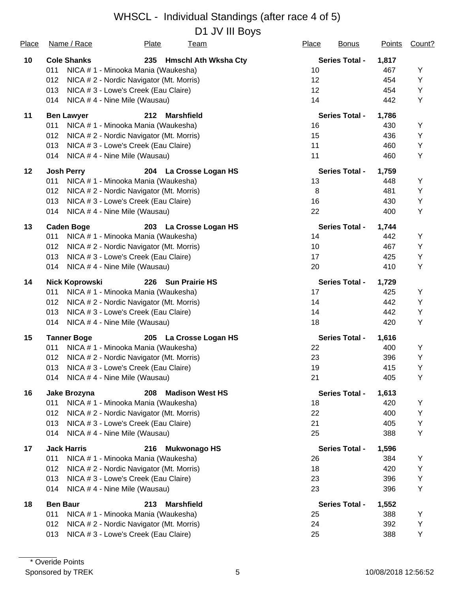| <b>Place</b> | Name / Race           | <b>Plate</b><br><u>Team</u>              | Place<br><b>Bonus</b> | <b>Points</b> | Count? |
|--------------|-----------------------|------------------------------------------|-----------------------|---------------|--------|
| 10           | <b>Cole Shanks</b>    | 235<br><b>Hmschl Ath Wksha Cty</b>       | <b>Series Total -</b> | 1,817         |        |
|              | 011                   | NICA # 1 - Minooka Mania (Waukesha)      | 10                    | 467           | Y      |
|              | 012                   | NICA # 2 - Nordic Navigator (Mt. Morris) | 12                    | 454           | Υ      |
|              | 013                   | NICA # 3 - Lowe's Creek (Eau Claire)     | 12                    | 454           | Υ      |
|              | 014                   | NICA #4 - Nine Mile (Wausau)             | 14                    | 442           | Y      |
| 11           | <b>Ben Lawyer</b>     | 212<br><b>Marshfield</b>                 | <b>Series Total -</b> | 1,786         |        |
|              | 011                   | NICA # 1 - Minooka Mania (Waukesha)      | 16                    | 430           | Υ      |
|              | 012                   | NICA # 2 - Nordic Navigator (Mt. Morris) | 15                    | 436           | Υ      |
|              | 013                   | NICA # 3 - Lowe's Creek (Eau Claire)     | 11                    | 460           | Υ      |
|              | 014                   | NICA #4 - Nine Mile (Wausau)             | 11                    | 460           | Υ      |
| 12           | <b>Josh Perry</b>     | 204 La Crosse Logan HS                   | <b>Series Total -</b> | 1,759         |        |
|              | 011                   | NICA # 1 - Minooka Mania (Waukesha)      | 13                    | 448           | Υ      |
|              | 012                   | NICA # 2 - Nordic Navigator (Mt. Morris) | 8                     | 481           | Υ      |
|              | 013                   | NICA # 3 - Lowe's Creek (Eau Claire)     | 16                    | 430           | Υ      |
|              | 014                   | NICA #4 - Nine Mile (Wausau)             | 22                    | 400           | Υ      |
| 13           | <b>Caden Boge</b>     | 203 La Crosse Logan HS                   | <b>Series Total -</b> | 1,744         |        |
|              | 011                   | NICA # 1 - Minooka Mania (Waukesha)      | 14                    | 442           | Υ      |
|              | 012                   | NICA # 2 - Nordic Navigator (Mt. Morris) | 10                    | 467           | Υ      |
|              | 013                   | NICA # 3 - Lowe's Creek (Eau Claire)     | 17                    | 425           | Y      |
|              | 014                   | NICA #4 - Nine Mile (Wausau)             | 20                    | 410           | Υ      |
| 14           | <b>Nick Koprowski</b> | 226<br><b>Sun Prairie HS</b>             | <b>Series Total -</b> | 1,729         |        |
|              | 011                   | NICA # 1 - Minooka Mania (Waukesha)      | 17                    | 425           | Υ      |
|              | 012                   | NICA # 2 - Nordic Navigator (Mt. Morris) | 14                    | 442           | Υ      |
|              | 013                   | NICA # 3 - Lowe's Creek (Eau Claire)     | 14                    | 442           | Υ      |
|              | 014                   | NICA #4 - Nine Mile (Wausau)             | 18                    | 420           | Υ      |
| 15           | <b>Tanner Boge</b>    | La Crosse Logan HS<br>205                | <b>Series Total -</b> | 1,616         |        |
|              | 011                   | NICA # 1 - Minooka Mania (Waukesha)      | 22                    | 400           | Y      |
|              | 012                   | NICA # 2 - Nordic Navigator (Mt. Morris) | 23                    | 396           | Υ      |
|              | 013                   | NICA # 3 - Lowe's Creek (Eau Claire)     | 19                    | 415           | Υ      |
|              |                       | 014 NICA #4 - Nine Mile (Wausau)         | 21                    | 405           | Y      |
| 16           | <b>Jake Brozyna</b>   | 208<br><b>Madison West HS</b>            | <b>Series Total -</b> | 1,613         |        |
|              | 011                   | NICA # 1 - Minooka Mania (Waukesha)      | 18                    | 420           | Υ      |
|              | 012                   | NICA # 2 - Nordic Navigator (Mt. Morris) | 22                    | 400           | Υ      |
|              | 013                   | NICA # 3 - Lowe's Creek (Eau Claire)     | 21                    | 405           | Υ      |
|              | 014                   | NICA #4 - Nine Mile (Wausau)             | 25                    | 388           | Υ      |
| 17           | <b>Jack Harris</b>    | 216<br><b>Mukwonago HS</b>               | <b>Series Total -</b> | 1,596         |        |
|              | 011                   | NICA # 1 - Minooka Mania (Waukesha)      | 26                    | 384           | Υ      |
|              | 012                   | NICA # 2 - Nordic Navigator (Mt. Morris) | 18                    | 420           | Υ      |
|              | 013                   | NICA # 3 - Lowe's Creek (Eau Claire)     | 23                    | 396           | Υ      |
|              | 014                   | NICA #4 - Nine Mile (Wausau)             | 23                    | 396           | Υ      |
| 18           | <b>Ben Baur</b>       | 213<br><b>Marshfield</b>                 | <b>Series Total -</b> | 1,552         |        |
|              | 011                   | NICA # 1 - Minooka Mania (Waukesha)      | 25                    | 388           | Y      |
|              | 012                   | NICA # 2 - Nordic Navigator (Mt. Morris) | 24                    | 392           | Υ      |
|              | 013                   | NICA # 3 - Lowe's Creek (Eau Claire)     | 25                    | 388           | Υ      |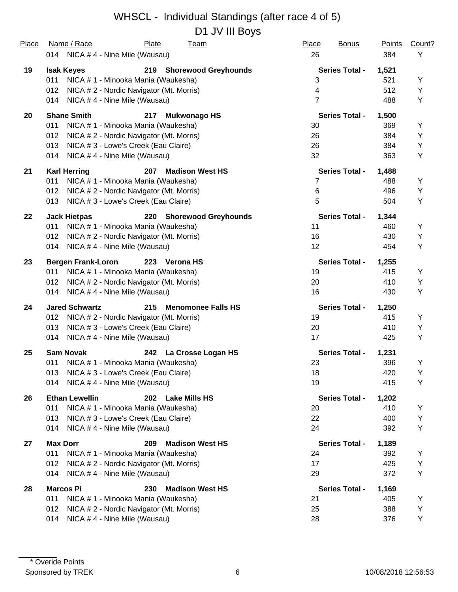| Place | Name / Race<br><b>Plate</b><br><u>Team</u>                | Place<br><b>Bonus</b>    | <b>Points</b> | Count? |
|-------|-----------------------------------------------------------|--------------------------|---------------|--------|
|       | 014 NICA #4 - Nine Mile (Wausau)                          | 26                       | 384           | Υ      |
| 19    | 219 Shorewood Greyhounds<br><b>Isak Keyes</b>             | <b>Series Total -</b>    | 1,521         |        |
|       | 011<br>NICA # 1 - Minooka Mania (Waukesha)                | 3                        | 521           | Υ      |
|       | NICA # 2 - Nordic Navigator (Mt. Morris)<br>012           | $\overline{\mathcal{A}}$ | 512           | Υ      |
|       | NICA #4 - Nine Mile (Wausau)<br>014                       | $\overline{7}$           | 488           | Y      |
| 20    | <b>Shane Smith</b><br><b>Mukwonago HS</b><br>217          | <b>Series Total -</b>    | 1,500         |        |
|       | 011<br>NICA # 1 - Minooka Mania (Waukesha)                | 30                       | 369           | Υ      |
|       | 012<br>NICA # 2 - Nordic Navigator (Mt. Morris)           | 26                       | 384           | Y      |
|       | 013<br>NICA # 3 - Lowe's Creek (Eau Claire)               | 26                       | 384           | Y      |
|       | NICA #4 - Nine Mile (Wausau)<br>014                       | 32                       | 363           | Υ      |
| 21    | <b>Karl Herring</b><br><b>Madison West HS</b><br>207      | <b>Series Total -</b>    | 1,488         |        |
|       | 011<br>NICA # 1 - Minooka Mania (Waukesha)                | 7                        | 488           | Y      |
|       | NICA # 2 - Nordic Navigator (Mt. Morris)<br>012           | 6                        | 496           | Υ      |
|       | NICA # 3 - Lowe's Creek (Eau Claire)<br>013               | 5                        | 504           | Υ      |
| 22    | <b>Jack Hietpas</b><br>220 Shorewood Greyhounds           | <b>Series Total -</b>    | 1,344         |        |
|       | 011<br>NICA # 1 - Minooka Mania (Waukesha)                | 11                       | 460           | Y      |
|       | NICA # 2 - Nordic Navigator (Mt. Morris)<br>012           | 16                       | 430           | Y      |
|       | NICA #4 - Nine Mile (Wausau)<br>014                       | 12 <sup>°</sup>          | 454           | Y      |
| 23    | <b>Bergen Frank-Loron</b><br>223 Verona HS                | <b>Series Total -</b>    | 1,255         |        |
|       | NICA # 1 - Minooka Mania (Waukesha)<br>011                | 19                       | 415           | Y      |
|       | NICA # 2 - Nordic Navigator (Mt. Morris)<br>012           | 20                       | 410           | Y      |
|       | NICA #4 - Nine Mile (Wausau)<br>014                       | 16                       | 430           | Υ      |
| 24    | <b>Jared Schwartz</b><br>215<br><b>Menomonee Falls HS</b> | <b>Series Total -</b>    | 1,250         |        |
|       | 012<br>NICA # 2 - Nordic Navigator (Mt. Morris)           | 19                       | 415           | Υ      |
|       | NICA # 3 - Lowe's Creek (Eau Claire)<br>013               | 20                       | 410           | Y      |
|       | NICA #4 - Nine Mile (Wausau)<br>014                       | 17                       | 425           | Υ      |
| 25    | <b>Sam Novak</b><br>242 La Crosse Logan HS                | <b>Series Total -</b>    | 1,231         |        |
|       | 011<br>NICA # 1 - Minooka Mania (Waukesha)                | 23                       | 396           | Υ      |
|       | NICA # 3 - Lowe's Creek (Eau Claire)<br>013               | 18                       | 420           | Υ      |
|       | NICA #4 - Nine Mile (Wausau)<br>014                       | 19                       | 415           | Υ      |
| 26    | <b>Ethan Lewellin</b><br>202<br><b>Lake Mills HS</b>      | <b>Series Total -</b>    | 1,202         |        |
|       | 011<br>NICA # 1 - Minooka Mania (Waukesha)                | 20                       | 410           | Υ      |
|       | 013<br>NICA # 3 - Lowe's Creek (Eau Claire)               | 22                       | 400           | Υ      |
|       | 014<br>NICA #4 - Nine Mile (Wausau)                       | 24                       | 392           | Υ      |
| 27    | <b>Max Dorr</b><br>209<br><b>Madison West HS</b>          | <b>Series Total -</b>    | 1,189         |        |
|       | 011<br>NICA # 1 - Minooka Mania (Waukesha)                | 24                       | 392           | Υ      |
|       | 012<br>NICA #2 - Nordic Navigator (Mt. Morris)            | 17                       | 425           | Υ      |
|       | NICA #4 - Nine Mile (Wausau)<br>014                       | 29                       | 372           | Υ      |
| 28    | <b>Marcos Pi</b><br>230<br><b>Madison West HS</b>         | <b>Series Total -</b>    | 1,169         |        |
|       | 011<br>NICA # 1 - Minooka Mania (Waukesha)                | 21                       | 405           | Υ      |
|       | NICA # 2 - Nordic Navigator (Mt. Morris)<br>012           | 25                       | 388           | Υ      |
|       | 014<br>NICA #4 - Nine Mile (Wausau)                       | 28                       | 376           | Υ      |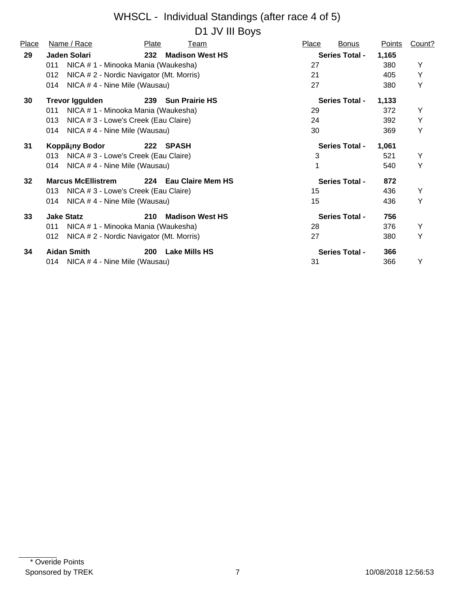| Place           | Name / Race                                     | Plate               | Team                   | Place | <b>Bonus</b>          | Points | Count? |
|-----------------|-------------------------------------------------|---------------------|------------------------|-------|-----------------------|--------|--------|
| 29              | <b>Jaden Solari</b>                             | 232                 | <b>Madison West HS</b> |       | <b>Series Total -</b> | 1,165  |        |
|                 | NICA # 1 - Minooka Mania (Waukesha)<br>011      |                     |                        | 27    |                       | 380    | Y      |
|                 | NICA # 2 - Nordic Navigator (Mt. Morris)<br>012 |                     |                        | 21    |                       | 405    | Y      |
|                 | NICA #4 - Nine Mile (Wausau)<br>014             |                     |                        | 27    |                       | 380    | Y      |
| 30              | <b>Trevor Iggulden</b>                          |                     | 239 Sun Prairie HS     |       | <b>Series Total -</b> | 1,133  |        |
|                 | NICA # 1 - Minooka Mania (Waukesha)<br>011      |                     |                        | 29    |                       | 372    | Y      |
|                 | NICA # 3 - Lowe's Creek (Eau Claire)<br>013     |                     |                        | 24    |                       | 392    | Υ      |
|                 | NICA #4 - Nine Mile (Wausau)<br>014             |                     |                        | 30    |                       | 369    | Y      |
| 31              | Koppã¡ny Bodor                                  | 222<br><b>SPASH</b> |                        |       | <b>Series Total -</b> | 1,061  |        |
|                 | NICA # 3 - Lowe's Creek (Eau Claire)<br>013     |                     |                        |       | 3                     | 521    | Y      |
|                 | NICA # 4 - Nine Mile (Wausau)<br>014            |                     |                        |       |                       | 540    | Y      |
| 32 <sub>2</sub> | <b>Marcus McEllistrem</b>                       |                     | 224 Eau Claire Mem HS  |       | <b>Series Total -</b> | 872    |        |
|                 | NICA #3 - Lowe's Creek (Eau Claire)<br>013      |                     |                        | 15    |                       | 436    | Y      |
|                 | NICA #4 - Nine Mile (Wausau)<br>014             |                     |                        | 15    |                       | 436    | Y      |
| 33              | <b>Jake Statz</b>                               | 210                 | <b>Madison West HS</b> |       | <b>Series Total -</b> | 756    |        |
|                 | NICA # 1 - Minooka Mania (Waukesha)<br>011      |                     |                        | 28    |                       | 376    | Y      |
|                 | 012<br>NICA # 2 - Nordic Navigator (Mt. Morris) |                     |                        | 27    |                       | 380    | Υ      |
| 34              | <b>Aidan Smith</b>                              | 200                 | <b>Lake Mills HS</b>   |       | <b>Series Total -</b> | 366    |        |
|                 | 014 NICA #4 - Nine Mile (Wausau)                |                     |                        | 31    |                       | 366    | Y      |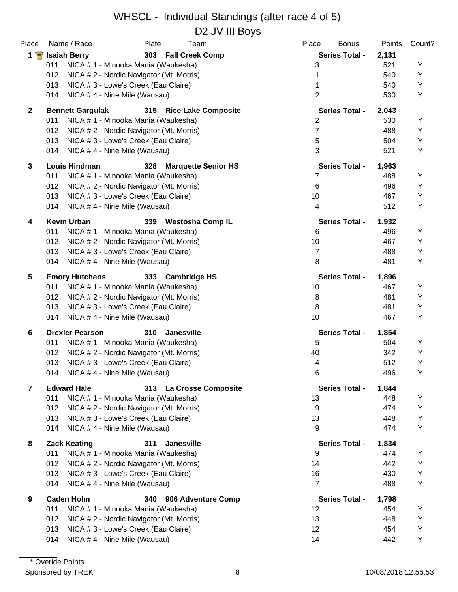#### WHSCL - Individual Standings (after race 4 of 5) D2 JV III Boys

|                     |                                                 |       | טעטוו יט בש                |                       |                               |        |
|---------------------|-------------------------------------------------|-------|----------------------------|-----------------------|-------------------------------|--------|
| Place               | Name / Race                                     | Plate | <b>Team</b>                | Place                 | <b>Bonus</b><br><b>Points</b> | Count? |
| $1 \nightharpoonup$ | <b>Isaiah Berry</b>                             |       | 303 Fall Creek Comp        | <b>Series Total -</b> | 2,131                         |        |
|                     | NICA # 1 - Minooka Mania (Waukesha)<br>011      |       |                            | 3                     | 521                           | Y      |
|                     | 012<br>NICA # 2 - Nordic Navigator (Mt. Morris) |       |                            | 1                     | 540                           | Υ      |
|                     | 013<br>NICA # 3 - Lowe's Creek (Eau Claire)     |       |                            | 1                     | 540                           | Υ      |
|                     | NICA #4 - Nine Mile (Wausau)<br>014             |       |                            | $\overline{2}$        | 530                           | Υ      |
| $\mathbf{2}$        | <b>Bennett Gargulak</b>                         |       | 315 Rice Lake Composite    | <b>Series Total -</b> | 2,043                         |        |
|                     | 011<br>NICA # 1 - Minooka Mania (Waukesha)      |       |                            | $\overline{2}$        | 530                           | Y      |
|                     | 012<br>NICA # 2 - Nordic Navigator (Mt. Morris) |       |                            | $\overline{7}$        | 488                           | Y      |
|                     | 013<br>NICA # 3 - Lowe's Creek (Eau Claire)     |       |                            | 5                     | 504                           | Υ      |
|                     | 014<br>NICA #4 - Nine Mile (Wausau)             |       |                            | 3                     | 521                           | Y      |
| 3                   | <b>Louis Hindman</b>                            | 328   | <b>Marquette Senior HS</b> | <b>Series Total -</b> | 1,963                         |        |
|                     | 011<br>NICA # 1 - Minooka Mania (Waukesha)      |       |                            | 7                     | 488                           | Υ      |
|                     | 012<br>NICA #2 - Nordic Navigator (Mt. Morris)  |       |                            | $\,6$                 | 496                           | Υ      |
|                     | 013<br>NICA # 3 - Lowe's Creek (Eau Claire)     |       |                            | 10                    | 467                           | Y      |
|                     | NICA #4 - Nine Mile (Wausau)<br>014             |       |                            | 4                     | 512                           | Υ      |
| 4                   | <b>Kevin Urban</b>                              | 339   | <b>Westosha Comp IL</b>    | <b>Series Total -</b> | 1,932                         |        |
|                     | NICA # 1 - Minooka Mania (Waukesha)<br>011      |       |                            | 6                     | 496                           | Υ      |
|                     | 012<br>NICA # 2 - Nordic Navigator (Mt. Morris) |       |                            | 10                    | 467                           | Y      |
|                     | 013<br>NICA # 3 - Lowe's Creek (Eau Claire)     |       |                            | 7                     | 488                           | Υ      |
|                     | 014<br>NICA #4 - Nine Mile (Wausau)             |       |                            | 8                     | 481                           | Υ      |
| 5                   | <b>Emory Hutchens</b>                           | 333   | <b>Cambridge HS</b>        | <b>Series Total -</b> | 1,896                         |        |
|                     | NICA # 1 - Minooka Mania (Waukesha)<br>011      |       |                            | 10                    | 467                           | Y      |
|                     | 012<br>NICA # 2 - Nordic Navigator (Mt. Morris) |       |                            | 8                     | 481                           | Υ      |
|                     | 013<br>NICA # 3 - Lowe's Creek (Eau Claire)     |       |                            | 8                     | 481                           | Υ      |
|                     | 014<br>NICA #4 - Nine Mile (Wausau)             |       |                            | 10                    | 467                           | Υ      |
| 6                   | <b>Drexler Pearson</b>                          | 310   | <b>Janesville</b>          | <b>Series Total -</b> | 1,854                         |        |
|                     | 011<br>NICA # 1 - Minooka Mania (Waukesha)      |       |                            | 5                     | 504                           | Υ      |
|                     | 012<br>NICA # 2 - Nordic Navigator (Mt. Morris) |       |                            | 40                    | 342                           | Υ      |
|                     | 013<br>NICA # 3 - Lowe's Creek (Eau Claire)     |       |                            | 4                     | 512                           | Υ      |
|                     | NICA #4 - Nine Mile (Wausau)<br>014             |       |                            | 6                     | 496                           | Υ      |
| $\overline{7}$      | <b>Edward Hale</b>                              |       | 313 La Crosse Composite    | <b>Series Total -</b> | 1,844                         |        |
|                     | 011<br>NICA # 1 - Minooka Mania (Waukesha)      |       |                            | 13                    | 448                           | Υ      |
|                     | 012<br>NICA # 2 - Nordic Navigator (Mt. Morris) |       |                            | 9                     | 474                           | Υ      |
|                     | 013<br>NICA # 3 - Lowe's Creek (Eau Claire)     |       |                            | 13                    | 448                           | Υ      |
|                     | 014<br>NICA #4 - Nine Mile (Wausau)             |       |                            | 9                     | 474                           | Y      |
| 8                   | <b>Zack Keating</b>                             | 311   | <b>Janesville</b>          | <b>Series Total -</b> | 1,834                         |        |
|                     | 011<br>NICA # 1 - Minooka Mania (Waukesha)      |       |                            | 9                     | 474                           | Y      |
|                     | 012<br>NICA # 2 - Nordic Navigator (Mt. Morris) |       |                            | 14                    | 442                           | Υ      |
|                     | 013<br>NICA # 3 - Lowe's Creek (Eau Claire)     |       |                            | 16                    | 430                           | Υ      |
|                     | 014<br>NICA # 4 - Nine Mile (Wausau)            |       |                            | $\overline{7}$        | 488                           | Υ      |
| 9                   | <b>Caden Holm</b>                               | 340   | 906 Adventure Comp         | <b>Series Total -</b> | 1,798                         |        |
|                     | NICA # 1 - Minooka Mania (Waukesha)<br>011      |       |                            | 12                    | 454                           | Υ      |
|                     | 012<br>NICA # 2 - Nordic Navigator (Mt. Morris) |       |                            | 13                    | 448                           | Y      |
|                     | NICA # 3 - Lowe's Creek (Eau Claire)<br>013     |       |                            | 12                    | 454                           | Υ      |
|                     | NICA #4 - Nine Mile (Wausau)<br>014             |       |                            | 14                    | 442                           | Υ      |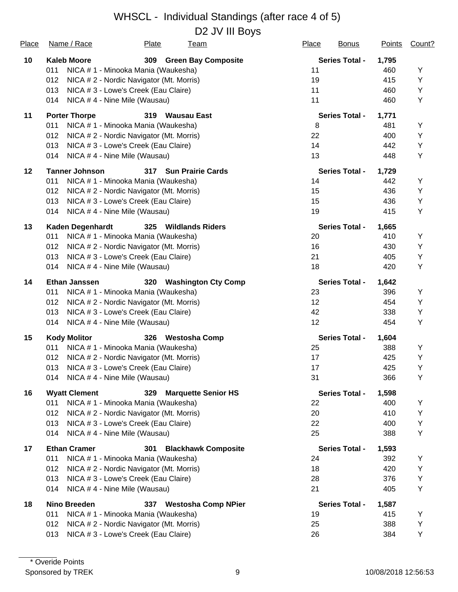| Place | Name / Race             | <b>Plate</b>                             | <b>Team</b>                | Place             | <b>Bonus</b>          | <b>Points</b> | Count? |
|-------|-------------------------|------------------------------------------|----------------------------|-------------------|-----------------------|---------------|--------|
| 10    | <b>Kaleb Moore</b>      | 309                                      | <b>Green Bay Composite</b> |                   | <b>Series Total -</b> | 1,795         |        |
|       | 011                     | NICA # 1 - Minooka Mania (Waukesha)      |                            | 11                |                       | 460           | Υ      |
|       | 012                     | NICA # 2 - Nordic Navigator (Mt. Morris) |                            | 19                |                       | 415           | Υ      |
|       | 013                     | NICA # 3 - Lowe's Creek (Eau Claire)     |                            | 11                |                       | 460           | Υ      |
|       | 014                     | NICA #4 - Nine Mile (Wausau)             |                            | 11                |                       | 460           | Υ      |
| 11    | <b>Porter Thorpe</b>    |                                          | 319 Wausau East            |                   | <b>Series Total -</b> | 1,771         |        |
|       | 011                     | NICA # 1 - Minooka Mania (Waukesha)      |                            | 8                 |                       | 481           | Y      |
|       | 012                     | NICA # 2 - Nordic Navigator (Mt. Morris) |                            | 22                |                       | 400           | Υ      |
|       | 013                     | NICA # 3 - Lowe's Creek (Eau Claire)     |                            | 14                |                       | 442           | Y      |
|       | 014                     | NICA #4 - Nine Mile (Wausau)             |                            | 13                |                       | 448           | Υ      |
| 12    | <b>Tanner Johnson</b>   | 317                                      | <b>Sun Prairie Cards</b>   |                   | <b>Series Total -</b> | 1,729         |        |
|       | 011                     | NICA # 1 - Minooka Mania (Waukesha)      |                            | 14                |                       | 442           | Y      |
|       | 012                     | NICA # 2 - Nordic Navigator (Mt. Morris) |                            | 15                |                       | 436           | Υ      |
|       | 013                     | NICA # 3 - Lowe's Creek (Eau Claire)     |                            | 15                |                       | 436           | Υ      |
|       | 014                     | NICA #4 - Nine Mile (Wausau)             |                            | 19                |                       | 415           | Y      |
| 13    | <b>Kaden Degenhardt</b> | 325                                      | <b>Wildlands Riders</b>    |                   | <b>Series Total -</b> | 1,665         |        |
|       | 011                     | NICA # 1 - Minooka Mania (Waukesha)      |                            | 20                |                       | 410           | Υ      |
|       | 012                     | NICA # 2 - Nordic Navigator (Mt. Morris) |                            | 16                |                       | 430           | Y      |
|       | 013                     | NICA # 3 - Lowe's Creek (Eau Claire)     |                            | 21                |                       | 405           | Υ      |
|       | 014                     | NICA #4 - Nine Mile (Wausau)             |                            | 18                |                       | 420           | Υ      |
| 14    | <b>Ethan Janssen</b>    | 320                                      | <b>Washington Cty Comp</b> |                   | <b>Series Total -</b> | 1,642         |        |
|       | 011                     | NICA # 1 - Minooka Mania (Waukesha)      |                            | 23                |                       | 396           | Υ      |
|       | 012                     | NICA # 2 - Nordic Navigator (Mt. Morris) |                            | $12 \overline{ }$ |                       | 454           | Υ      |
|       | 013                     | NICA # 3 - Lowe's Creek (Eau Claire)     |                            | 42                |                       | 338           | Υ      |
|       | 014                     | NICA #4 - Nine Mile (Wausau)             |                            | 12                |                       | 454           | Υ      |
| 15    | <b>Kody Molitor</b>     |                                          | 326 Westosha Comp          |                   | <b>Series Total -</b> | 1,604         |        |
|       | 011                     | NICA # 1 - Minooka Mania (Waukesha)      |                            | 25                |                       | 388           | Υ      |
|       | 012                     | NICA # 2 - Nordic Navigator (Mt. Morris) |                            | 17                |                       | 425           | Υ      |
|       | 013                     | NICA # 3 - Lowe's Creek (Eau Claire)     |                            | 17                |                       | 425           | Y      |
|       | 014                     | NICA # 4 - Nine Mile (Wausau)            |                            | 31                |                       | 366           | Y      |
| 16    | <b>Wyatt Clement</b>    |                                          | 329 Marquette Senior HS    |                   | <b>Series Total -</b> | 1,598         |        |
|       | 011                     | NICA # 1 - Minooka Mania (Waukesha)      |                            | 22                |                       | 400           | Υ      |
|       | 012                     | NICA # 2 - Nordic Navigator (Mt. Morris) |                            | 20                |                       | 410           | Υ      |
|       | 013                     | NICA # 3 - Lowe's Creek (Eau Claire)     |                            | 22                |                       | 400           | Υ      |
|       | 014                     | NICA #4 - Nine Mile (Wausau)             |                            | 25                |                       | 388           | Υ      |
| 17    | <b>Ethan Cramer</b>     | 301                                      | <b>Blackhawk Composite</b> |                   | <b>Series Total -</b> | 1,593         |        |
|       | 011                     | NICA # 1 - Minooka Mania (Waukesha)      |                            | 24                |                       | 392           | Y      |
|       | 012                     | NICA # 2 - Nordic Navigator (Mt. Morris) |                            | 18                |                       | 420           | Υ      |
|       | 013                     | NICA # 3 - Lowe's Creek (Eau Claire)     |                            | 28                |                       | 376           | Υ      |
|       | 014                     | NICA #4 - Nine Mile (Wausau)             |                            | 21                |                       | 405           | Υ      |
| 18    | <b>Nino Breeden</b>     | 337                                      | <b>Westosha Comp NPier</b> |                   | <b>Series Total -</b> | 1,587         |        |
|       | 011                     | NICA # 1 - Minooka Mania (Waukesha)      |                            | 19                |                       | 415           | Y      |
|       | 012                     | NICA # 2 - Nordic Navigator (Mt. Morris) |                            | 25                |                       | 388           | Υ      |
|       | 013                     | NICA # 3 - Lowe's Creek (Eau Claire)     |                            | 26                |                       | 384           | Υ      |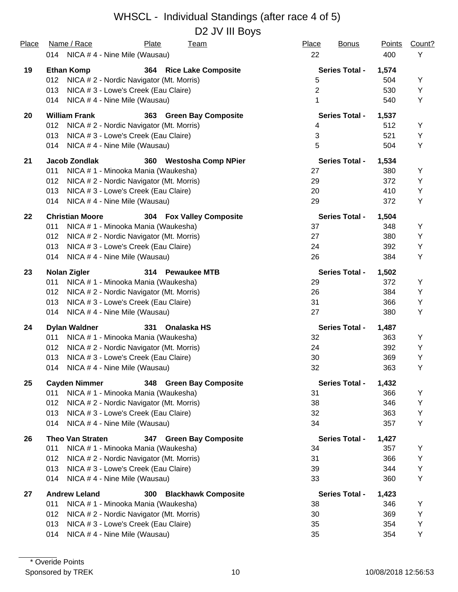#### WHSCL - Individual Standings (after race 4 of 5) D<sub>2</sub> JV III Boys

| Place | Name / Race                          | Plate<br><b>Team</b>                     | Place<br><b>Bonus</b> | Points | Count? |
|-------|--------------------------------------|------------------------------------------|-----------------------|--------|--------|
|       | 014 NICA #4 - Nine Mile (Wausau)     |                                          | 22                    | 400    | Υ      |
| 19    | <b>Ethan Komp</b>                    | 364 Rice Lake Composite                  | <b>Series Total -</b> | 1,574  |        |
|       | 012                                  | NICA # 2 - Nordic Navigator (Mt. Morris) | 5                     | 504    | Υ      |
|       | 013                                  | NICA # 3 - Lowe's Creek (Eau Claire)     | $\overline{2}$        | 530    | Y      |
|       | NICA #4 - Nine Mile (Wausau)<br>014  |                                          | 1                     | 540    | Y      |
| 20    | <b>William Frank</b>                 | 363 Green Bay Composite                  | <b>Series Total -</b> | 1,537  |        |
|       | 012                                  | NICA # 2 - Nordic Navigator (Mt. Morris) | 4                     | 512    | Y      |
|       | 013                                  | NICA # 3 - Lowe's Creek (Eau Claire)     | 3                     | 521    | Y      |
|       | NICA #4 - Nine Mile (Wausau)<br>014  |                                          | 5                     | 504    | Y      |
| 21    | Jacob Zondlak                        | 360 Westosha Comp NPier                  | <b>Series Total -</b> | 1,534  |        |
|       | 011                                  | NICA # 1 - Minooka Mania (Waukesha)      | 27                    | 380    | Y      |
|       | 012                                  | NICA # 2 - Nordic Navigator (Mt. Morris) | 29                    | 372    | Y      |
|       | 013                                  | NICA # 3 - Lowe's Creek (Eau Claire)     | 20                    | 410    | Y      |
|       | 014<br>NICA # 4 - Nine Mile (Wausau) |                                          | 29                    | 372    | Υ      |
| 22    | <b>Christian Moore</b>               | 304 Fox Valley Composite                 | <b>Series Total -</b> | 1,504  |        |
|       | 011                                  | NICA # 1 - Minooka Mania (Waukesha)      | 37                    | 348    | Y      |
|       | 012                                  | NICA # 2 - Nordic Navigator (Mt. Morris) | 27                    | 380    | Y      |
|       | 013                                  | NICA # 3 - Lowe's Creek (Eau Claire)     | 24                    | 392    | Υ      |
|       | NICA #4 - Nine Mile (Wausau)<br>014  |                                          | 26                    | 384    | Υ      |
| 23    | <b>Nolan Zigler</b>                  | 314 Pewaukee MTB                         | <b>Series Total -</b> | 1,502  |        |
|       | 011                                  | NICA # 1 - Minooka Mania (Waukesha)      | 29                    | 372    | Υ      |
|       | 012                                  | NICA # 2 - Nordic Navigator (Mt. Morris) | 26                    | 384    | Y      |
|       | 013                                  | NICA # 3 - Lowe's Creek (Eau Claire)     | 31                    | 366    | Υ      |
|       | NICA #4 - Nine Mile (Wausau)<br>014  |                                          | 27                    | 380    | Υ      |
| 24    | <b>Dylan Waldner</b>                 | Onalaska HS<br>331                       | <b>Series Total -</b> | 1,487  |        |
|       | 011                                  | NICA # 1 - Minooka Mania (Waukesha)      | 32                    | 363    | Υ      |
|       | 012                                  | NICA # 2 - Nordic Navigator (Mt. Morris) | 24                    | 392    | Υ      |
|       | 013                                  | NICA # 3 - Lowe's Creek (Eau Claire)     | 30                    | 369    | Y      |
|       | NICA #4 - Nine Mile (Wausau)<br>014  |                                          | 32                    | 363    | Y      |
| 25    | <b>Cayden Nimmer</b>                 | 348 Green Bay Composite                  | <b>Series Total -</b> | 1,432  |        |
|       | 011                                  | NICA # 1 - Minooka Mania (Waukesha)      | 31                    | 366    | Υ      |
|       | 012                                  | NICA # 2 - Nordic Navigator (Mt. Morris) | 38                    | 346    | Υ      |
|       | 013                                  | NICA # 3 - Lowe's Creek (Eau Claire)     | 32                    | 363    | Υ      |
|       | 014<br>NICA #4 - Nine Mile (Wausau)  |                                          | 34                    | 357    | Υ      |
| 26    | <b>Theo Van Straten</b>              | 347 Green Bay Composite                  | <b>Series Total -</b> | 1,427  |        |
|       | 011                                  | NICA # 1 - Minooka Mania (Waukesha)      | 34                    | 357    | Y      |
|       | 012                                  | NICA # 2 - Nordic Navigator (Mt. Morris) | 31                    | 366    | Υ      |
|       | 013                                  | NICA # 3 - Lowe's Creek (Eau Claire)     | 39                    | 344    | Υ      |
|       | NICA #4 - Nine Mile (Wausau)<br>014  |                                          | 33                    | 360    | Υ      |
| 27    | <b>Andrew Leland</b>                 | <b>Blackhawk Composite</b><br>300        | <b>Series Total -</b> | 1,423  |        |
|       | 011                                  | NICA # 1 - Minooka Mania (Waukesha)      | 38                    | 346    | Y      |
|       | 012                                  | NICA # 2 - Nordic Navigator (Mt. Morris) | 30                    | 369    | Υ      |
|       | 013                                  | NICA # 3 - Lowe's Creek (Eau Claire)     | 35                    | 354    | Υ      |
|       | 014<br>NICA #4 - Nine Mile (Wausau)  |                                          | 35                    | 354    | Υ      |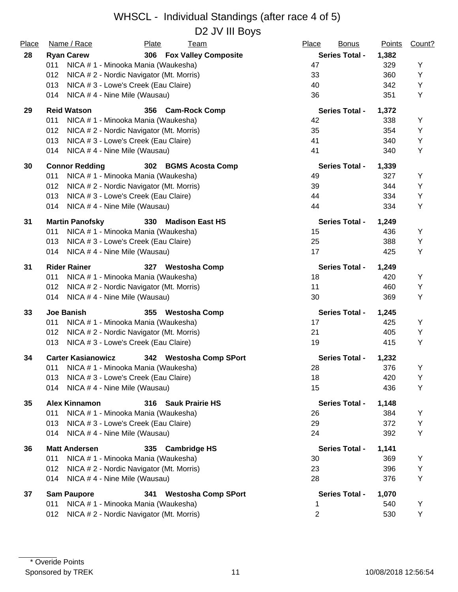| Place | Name / Race                                 | Plate<br><b>Team</b>                     | Place<br><b>Bonus</b> | <b>Points</b> | Count? |
|-------|---------------------------------------------|------------------------------------------|-----------------------|---------------|--------|
| 28    | <b>Ryan Carew</b>                           | 306 Fox Valley Composite                 | <b>Series Total -</b> | 1,382         |        |
|       | 011                                         | NICA # 1 - Minooka Mania (Waukesha)      | 47                    | 329           | Y      |
|       | 012                                         | NICA # 2 - Nordic Navigator (Mt. Morris) | 33                    | 360           | Y      |
|       | 013<br>NICA # 3 - Lowe's Creek (Eau Claire) |                                          | 40                    | 342           | Y      |
|       | 014<br>NICA #4 - Nine Mile (Wausau)         |                                          | 36                    | 351           | Y      |
| 29    | <b>Reid Watson</b>                          | 356 Cam-Rock Comp                        | <b>Series Total -</b> | 1,372         |        |
|       | 011                                         | NICA # 1 - Minooka Mania (Waukesha)      | 42                    | 338           | Y      |
|       | 012                                         | NICA # 2 - Nordic Navigator (Mt. Morris) | 35                    | 354           | Y      |
|       | 013<br>NICA # 3 - Lowe's Creek (Eau Claire) |                                          | 41                    | 340           | Y      |
|       | NICA #4 - Nine Mile (Wausau)<br>014         |                                          | 41                    | 340           | Y      |
| 30    | <b>Connor Redding</b>                       | 302 BGMS Acosta Comp                     | <b>Series Total -</b> | 1,339         |        |
|       | 011                                         | NICA # 1 - Minooka Mania (Waukesha)      | 49                    | 327           | Υ      |
|       | 012                                         | NICA # 2 - Nordic Navigator (Mt. Morris) | 39                    | 344           | Υ      |
|       | 013<br>NICA # 3 - Lowe's Creek (Eau Claire) |                                          | 44                    | 334           | Y      |
|       | 014<br>NICA #4 - Nine Mile (Wausau)         |                                          | 44                    | 334           | Y      |
| 31    | <b>Martin Panofsky</b>                      | 330<br><b>Madison East HS</b>            | <b>Series Total -</b> | 1,249         |        |
|       | 011                                         | NICA # 1 - Minooka Mania (Waukesha)      | 15                    | 436           | Υ      |
|       | NICA # 3 - Lowe's Creek (Eau Claire)<br>013 |                                          | 25                    | 388           | Y      |
|       | NICA #4 - Nine Mile (Wausau)<br>014         |                                          | 17                    | 425           | Υ      |
| 31    | <b>Rider Rainer</b>                         | 327 Westosha Comp                        | <b>Series Total -</b> | 1,249         |        |
|       | 011                                         | NICA # 1 - Minooka Mania (Waukesha)      | 18                    | 420           | Υ      |
|       | 012                                         | NICA # 2 - Nordic Navigator (Mt. Morris) | 11                    | 460           | Y      |
|       | NICA #4 - Nine Mile (Wausau)<br>014         |                                          | 30                    | 369           | Y      |
| 33    | <b>Joe Banish</b>                           | 355 Westosha Comp                        | <b>Series Total -</b> | 1,245         |        |
|       | 011                                         | NICA # 1 - Minooka Mania (Waukesha)      | 17                    | 425           | Υ      |
|       | 012                                         | NICA # 2 - Nordic Navigator (Mt. Morris) | 21                    | 405           | Y      |
|       | NICA # 3 - Lowe's Creek (Eau Claire)<br>013 |                                          | 19                    | 415           | Y      |
| 34    | <b>Carter Kasianowicz</b>                   | 342 Westosha Comp SPort                  | <b>Series Total -</b> | 1,232         |        |
|       | 011                                         | NICA # 1 - Minooka Mania (Waukesha)      | 28                    | 376           | Y      |
|       | 013<br>NICA # 3 - Lowe's Creek (Eau Claire) |                                          | 18                    | 420           | Y      |
|       | NICA #4 - Nine Mile (Wausau)<br>014         |                                          | 15                    | 436           | Υ      |
| 35    | <b>Alex Kinnamon</b>                        | 316 Sauk Prairie HS                      | <b>Series Total -</b> | 1,148         |        |
|       | 011                                         | NICA # 1 - Minooka Mania (Waukesha)      | 26                    | 384           | Y      |
|       | 013<br>NICA # 3 - Lowe's Creek (Eau Claire) |                                          | 29                    | 372           | Υ      |
|       | NICA #4 - Nine Mile (Wausau)<br>014         |                                          | 24                    | 392           | Υ      |
| 36    | <b>Matt Andersen</b>                        | 335<br><b>Cambridge HS</b>               | <b>Series Total -</b> | 1,141         |        |
|       | 011                                         | NICA # 1 - Minooka Mania (Waukesha)      | 30                    | 369           | Y      |
|       | 012                                         | NICA # 2 - Nordic Navigator (Mt. Morris) | 23                    | 396           | Υ      |
|       | NICA #4 - Nine Mile (Wausau)<br>014         |                                          | 28                    | 376           | Υ      |
| 37    | <b>Sam Paupore</b>                          | <b>Westosha Comp SPort</b><br>341        | <b>Series Total -</b> | 1,070         |        |
|       | 011                                         | NICA # 1 - Minooka Mania (Waukesha)      | 1                     | 540           | Υ      |
|       | 012                                         | NICA # 2 - Nordic Navigator (Mt. Morris) | $\mathbf{2}$          | 530           | Υ      |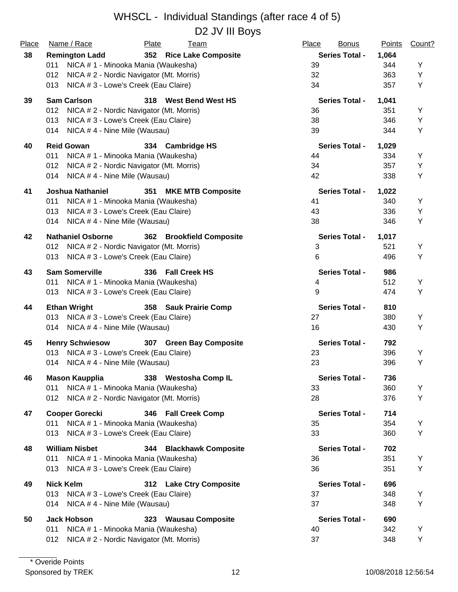| Place | Name / Race                                     | Plate<br><b>Team</b>            | Place<br><b>Bonus</b> | <u>Points</u> | Count? |
|-------|-------------------------------------------------|---------------------------------|-----------------------|---------------|--------|
| 38    | <b>Remington Ladd</b>                           | 352 Rice Lake Composite         | <b>Series Total -</b> | 1,064         |        |
|       | 011<br>NICA # 1 - Minooka Mania (Waukesha)      |                                 | 39                    | 344           | Y      |
|       | 012<br>NICA # 2 - Nordic Navigator (Mt. Morris) |                                 | 32                    | 363           | Y      |
|       | 013<br>NICA # 3 - Lowe's Creek (Eau Claire)     |                                 | 34                    | 357           | Y      |
| 39    | <b>Sam Carlson</b>                              | 318 West Bend West HS           | <b>Series Total -</b> | 1,041         |        |
|       | 012<br>NICA # 2 - Nordic Navigator (Mt. Morris) |                                 | 36                    | 351           | Y      |
|       | 013<br>NICA # 3 - Lowe's Creek (Eau Claire)     |                                 | 38                    | 346           | Y      |
|       | NICA #4 - Nine Mile (Wausau)<br>014             |                                 | 39                    | 344           | Y      |
| 40    | <b>Reid Gowan</b>                               | 334 Cambridge HS                | <b>Series Total -</b> | 1,029         |        |
|       | 011<br>NICA # 1 - Minooka Mania (Waukesha)      |                                 | 44                    | 334           | Υ      |
|       | NICA #2 - Nordic Navigator (Mt. Morris)<br>012  |                                 | 34                    | 357           | Y      |
|       | NICA #4 - Nine Mile (Wausau)<br>014             |                                 | 42                    | 338           | Y      |
| 41    | <b>Joshua Nathaniel</b>                         | 351<br><b>MKE MTB Composite</b> | <b>Series Total -</b> | 1,022         |        |
|       | NICA # 1 - Minooka Mania (Waukesha)<br>011      |                                 | 41                    | 340           | Y      |
|       | NICA # 3 - Lowe's Creek (Eau Claire)<br>013     |                                 | 43                    | 336           | Y      |
|       | NICA #4 - Nine Mile (Wausau)<br>014             |                                 | 38                    | 346           | Y      |
| 42    | <b>Nathaniel Osborne</b>                        | 362 Brookfield Composite        | <b>Series Total -</b> | 1,017         |        |
|       | NICA # 2 - Nordic Navigator (Mt. Morris)<br>012 |                                 | 3                     | 521           | Y      |
|       | NICA # 3 - Lowe's Creek (Eau Claire)<br>013     |                                 | 6                     | 496           | Y      |
| 43    | <b>Sam Somerville</b>                           | 336 Fall Creek HS               | <b>Series Total -</b> | 986           |        |
|       | NICA # 1 - Minooka Mania (Waukesha)<br>011      |                                 | 4                     | 512           | Υ      |
|       | NICA # 3 - Lowe's Creek (Eau Claire)<br>013     |                                 | 9                     | 474           | Y      |
| 44    | <b>Ethan Wright</b>                             | 358 Sauk Prairie Comp           | <b>Series Total -</b> | 810           |        |
|       | NICA # 3 - Lowe's Creek (Eau Claire)<br>013     |                                 | 27                    | 380           | Υ      |
|       | NICA #4 - Nine Mile (Wausau)<br>014             |                                 | 16                    | 430           | Y      |
| 45    | <b>Henry Schwiesow</b>                          | 307 Green Bay Composite         | <b>Series Total -</b> | 792           |        |
|       | NICA # 3 - Lowe's Creek (Eau Claire)<br>013     |                                 | 23                    | 396           | Y      |
|       | NICA #4 - Nine Mile (Wausau)<br>014             |                                 | 23                    | 396           | Y      |
| 46    | <b>Mason Kaupplia</b>                           | <b>Westosha Comp IL</b><br>338  | <b>Series Total -</b> | 736           |        |
|       | 011<br>NICA # 1 - Minooka Mania (Waukesha)      |                                 | 33                    | 360           | Y      |
|       | NICA # 2 - Nordic Navigator (Mt. Morris)<br>012 |                                 | 28                    | 376           | Y      |
| 47    | <b>Cooper Gorecki</b>                           | 346 Fall Creek Comp             | <b>Series Total -</b> | 714           |        |
|       | NICA # 1 - Minooka Mania (Waukesha)<br>011      |                                 | 35                    | 354           | Y      |
|       | 013<br>NICA # 3 - Lowe's Creek (Eau Claire)     |                                 | 33                    | 360           | Y      |
| 48    | <b>William Nisbet</b>                           | 344 Blackhawk Composite         | <b>Series Total -</b> | 702           |        |
|       | NICA # 1 - Minooka Mania (Waukesha)<br>011      |                                 | 36                    | 351           | Y      |
|       | 013<br>NICA # 3 - Lowe's Creek (Eau Claire)     |                                 | 36                    | 351           | Υ      |
| 49    | <b>Nick Kelm</b>                                | 312 Lake Ctry Composite         | <b>Series Total -</b> | 696           |        |
|       | 013<br>NICA # 3 - Lowe's Creek (Eau Claire)     |                                 | 37                    | 348           | Y      |
|       | NICA #4 - Nine Mile (Wausau)<br>014             |                                 | 37                    | 348           | Υ      |
| 50    | <b>Jack Hobson</b>                              | <b>Wausau Composite</b><br>323  | <b>Series Total -</b> | 690           |        |
|       | NICA # 1 - Minooka Mania (Waukesha)<br>011      |                                 | 40                    | 342           | Y      |
|       | NICA # 2 - Nordic Navigator (Mt. Morris)<br>012 |                                 | 37                    | 348           | Υ      |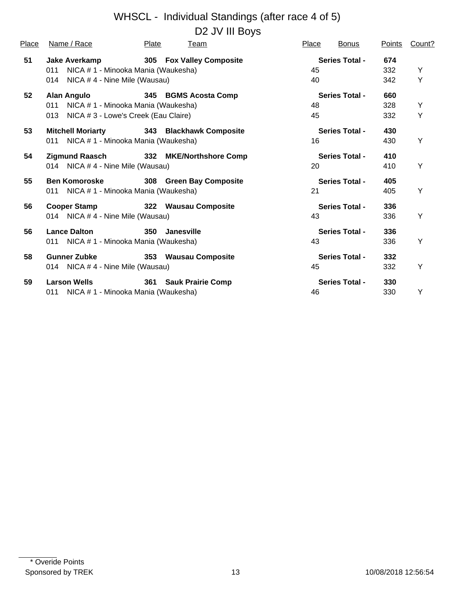| <u>Place</u> | Name / Race                                | <b>Plate</b> | Team                     | <b>Place</b> | <b>Bonus</b>          | <b>Points</b> | Count? |
|--------------|--------------------------------------------|--------------|--------------------------|--------------|-----------------------|---------------|--------|
| 51           | Jake Averkamp                              |              | 305 Fox Valley Composite |              | <b>Series Total -</b> | 674           |        |
|              | NICA # 1 - Minooka Mania (Waukesha)<br>011 |              |                          | 45           |                       | 332           | Υ      |
|              | 014 NICA #4 - Nine Mile (Wausau)           |              |                          | 40           |                       | 342           | Y      |
| 52           | Alan Angulo                                |              | 345 BGMS Acosta Comp     |              | <b>Series Total -</b> | 660           |        |
|              | NICA # 1 - Minooka Mania (Waukesha)<br>011 |              |                          | 48           |                       | 328           | Y      |
|              | 013 NICA # 3 - Lowe's Creek (Eau Claire)   |              |                          | 45           |                       | 332           | Υ      |
| 53           | <b>Mitchell Moriarty</b>                   |              | 343 Blackhawk Composite  |              | <b>Series Total -</b> | 430           |        |
|              | 011 NICA # 1 - Minooka Mania (Waukesha)    |              |                          | 16           |                       | 430           | Y      |
| 54           | Zigmund Raasch                             |              | 332 MKE/Northshore Comp  |              | <b>Series Total -</b> | 410           |        |
|              | 014 NICA # 4 - Nine Mile (Wausau)          |              |                          | 20           |                       | 410           | Y      |
| 55           | <b>Ben Komoroske</b>                       |              | 308 Green Bay Composite  |              | <b>Series Total -</b> | 405           |        |
|              | 011 NICA # 1 - Minooka Mania (Waukesha)    |              |                          | 21           |                       | 405           | Y      |
| 56           | Cooper Stamp 322 Wausau Composite          |              |                          |              | <b>Series Total -</b> | 336           |        |
|              | 014 NICA #4 - Nine Mile (Wausau)           |              |                          | 43           |                       | 336           | Y      |
| 56           | <b>Lance Dalton</b>                        | 350          | Janesville               |              | <b>Series Total -</b> | 336           |        |
|              | 011 NICA # 1 - Minooka Mania (Waukesha)    |              |                          | 43           |                       | 336           | Υ      |
| 58           | <b>Gunner Zubke</b>                        |              | 353 Wausau Composite     |              | <b>Series Total -</b> | 332           |        |
|              | 014 NICA #4 - Nine Mile (Wausau)           |              |                          | 45           |                       | 332           | Υ      |
| 59           | <b>Larson Wells</b>                        |              | 361 Sauk Prairie Comp    |              | <b>Series Total -</b> | 330           |        |
|              | 011 NICA # 1 - Minooka Mania (Waukesha)    |              |                          | 46           |                       | 330           | Y      |
|              |                                            |              |                          |              |                       |               |        |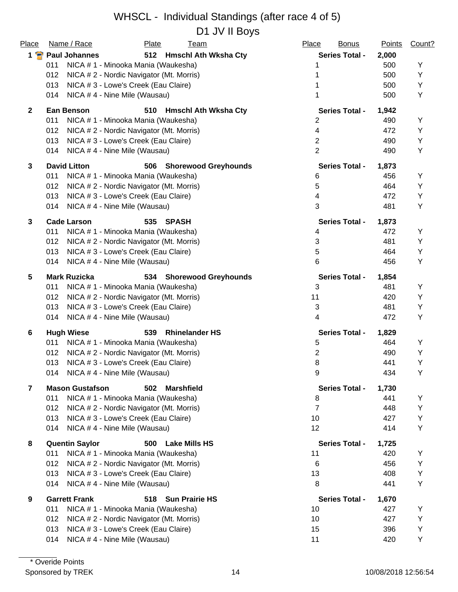D1 JV II Boys

| Place          | Name / Race<br>Plate<br><u>Team</u>                       | Place<br><b>Bonus</b> | <b>Points</b> | Count? |
|----------------|-----------------------------------------------------------|-----------------------|---------------|--------|
|                | 1 Paul Johannes<br>512 Hmschl Ath Wksha Cty               | <b>Series Total -</b> | 2,000         |        |
|                | NICA # 1 - Minooka Mania (Waukesha)<br>011                | 1                     | 500           | Υ      |
|                | 012<br>NICA # 2 - Nordic Navigator (Mt. Morris)           |                       | 500           | Υ      |
|                | 013<br>NICA # 3 - Lowe's Creek (Eau Claire)               |                       | 500           | Υ      |
|                | NICA #4 - Nine Mile (Wausau)<br>014                       | 1                     | 500           | Υ      |
| $\mathbf{2}$   | <b>Ean Benson</b><br>510 Hmschl Ath Wksha Cty             | <b>Series Total -</b> | 1,942         |        |
|                | 011<br>NICA # 1 - Minooka Mania (Waukesha)                | 2                     | 490           | Y      |
|                | NICA # 2 - Nordic Navigator (Mt. Morris)<br>012           | 4                     | 472           | Y      |
|                | 013<br>NICA # 3 - Lowe's Creek (Eau Claire)               | $\overline{2}$        | 490           | Υ      |
|                | 014<br>NICA #4 - Nine Mile (Wausau)                       | $\overline{2}$        | 490           | Υ      |
| 3              | <b>David Litton</b><br>506<br><b>Shorewood Greyhounds</b> | <b>Series Total -</b> | 1,873         |        |
|                | 011<br>NICA # 1 - Minooka Mania (Waukesha)                | 6                     | 456           | Υ      |
|                | NICA # 2 - Nordic Navigator (Mt. Morris)<br>012           | 5                     | 464           | Υ      |
|                | 013<br>NICA # 3 - Lowe's Creek (Eau Claire)               | 4                     | 472           | Υ      |
|                | NICA #4 - Nine Mile (Wausau)<br>014                       | 3                     | 481           | Υ      |
| $\mathbf{3}$   | <b>Cade Larson</b><br><b>SPASH</b><br>535                 | <b>Series Total -</b> | 1,873         |        |
|                | 011<br>NICA # 1 - Minooka Mania (Waukesha)                | 4                     | 472           | Υ      |
|                | 012<br>NICA # 2 - Nordic Navigator (Mt. Morris)           | 3                     | 481           | Υ      |
|                | NICA # 3 - Lowe's Creek (Eau Claire)<br>013               | 5                     | 464           | Y      |
|                | NICA #4 - Nine Mile (Wausau)<br>014                       | 6                     | 456           | Υ      |
| 5              | <b>Mark Ruzicka</b><br>534 Shorewood Greyhounds           | <b>Series Total -</b> | 1,854         |        |
|                | NICA # 1 - Minooka Mania (Waukesha)<br>011                | 3                     | 481           | Υ      |
|                | NICA # 2 - Nordic Navigator (Mt. Morris)<br>012           | 11                    | 420           | Υ      |
|                | 013<br>NICA # 3 - Lowe's Creek (Eau Claire)               | 3                     | 481           | Υ      |
|                | NICA #4 - Nine Mile (Wausau)<br>014                       | 4                     | 472           | Υ      |
| 6              | 539<br><b>Rhinelander HS</b><br><b>Hugh Wiese</b>         | <b>Series Total -</b> | 1,829         |        |
|                | 011<br>NICA # 1 - Minooka Mania (Waukesha)                | 5                     | 464           | Υ      |
|                | 012<br>NICA # 2 - Nordic Navigator (Mt. Morris)           | 2                     | 490           | Y      |
|                | NICA # 3 - Lowe's Creek (Eau Claire)<br>013               | 8                     | 441           | Υ      |
|                | 014 NICA # 4 - Nine Mile (Wausau)                         | 9                     | 434           | Y      |
| $\overline{7}$ | <b>Mason Gustafson</b><br><b>Marshfield</b><br>502        | <b>Series Total -</b> | 1,730         |        |
|                | NICA # 1 - Minooka Mania (Waukesha)<br>011                | 8                     | 441           | Y      |
|                | 012<br>NICA # 2 - Nordic Navigator (Mt. Morris)           | $\overline{7}$        | 448           | Υ      |
|                | 013<br>NICA # 3 - Lowe's Creek (Eau Claire)               | 10                    | 427           | Y      |
|                | 014<br>NICA #4 - Nine Mile (Wausau)                       | 12                    | 414           | Y      |
| 8              | <b>Quentin Saylor</b><br>500 Lake Mills HS                | <b>Series Total -</b> | 1,725         |        |
|                | 011<br>NICA # 1 - Minooka Mania (Waukesha)                | 11                    | 420           | Y      |
|                | 012<br>NICA # 2 - Nordic Navigator (Mt. Morris)           | $6\phantom{1}6$       | 456           | Y      |
|                | 013<br>NICA # 3 - Lowe's Creek (Eau Claire)               | 13                    | 408           | Y      |
|                | 014<br>NICA #4 - Nine Mile (Wausau)                       | 8                     | 441           | Υ      |
| 9              | <b>Garrett Frank</b><br>518<br><b>Sun Prairie HS</b>      | <b>Series Total -</b> | 1,670         |        |
|                | 011<br>NICA # 1 - Minooka Mania (Waukesha)                | 10                    | 427           | Y      |
|                | 012<br>NICA # 2 - Nordic Navigator (Mt. Morris)           | 10                    | 427           | Υ      |
|                | 013<br>NICA # 3 - Lowe's Creek (Eau Claire)               | 15                    | 396           | Υ      |
|                | NICA #4 - Nine Mile (Wausau)<br>014                       | 11                    | 420           | Υ      |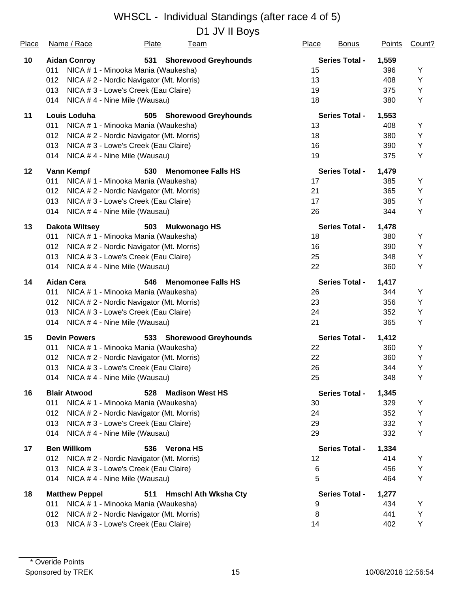D1 JV II Boys

| Place | Name / Race           | <b>Plate</b><br><b>Team</b>              | Place<br><b>Bonus</b> | <b>Points</b> | Count? |
|-------|-----------------------|------------------------------------------|-----------------------|---------------|--------|
| 10    | <b>Aidan Conroy</b>   | 531<br><b>Shorewood Greyhounds</b>       | <b>Series Total -</b> | 1,559         |        |
|       | 011                   | NICA # 1 - Minooka Mania (Waukesha)      | 15                    | 396           | Υ      |
|       | 012                   | NICA # 2 - Nordic Navigator (Mt. Morris) | 13                    | 408           | Υ      |
|       | 013                   | NICA # 3 - Lowe's Creek (Eau Claire)     | 19                    | 375           | Υ      |
|       | 014                   | NICA #4 - Nine Mile (Wausau)             | 18                    | 380           | Υ      |
| 11    | Louis Loduha          | 505 Shorewood Greyhounds                 | <b>Series Total -</b> | 1,553         |        |
|       | 011                   | NICA # 1 - Minooka Mania (Waukesha)      | 13                    | 408           | Y      |
|       | 012                   | NICA # 2 - Nordic Navigator (Mt. Morris) | 18                    | 380           | Υ      |
|       | 013                   | NICA # 3 - Lowe's Creek (Eau Claire)     | 16                    | 390           | Υ      |
|       | 014                   | NICA #4 - Nine Mile (Wausau)             | 19                    | 375           | Υ      |
| 12    | <b>Vann Kempf</b>     | 530<br><b>Menomonee Falls HS</b>         | <b>Series Total -</b> | 1,479         |        |
|       | 011                   | NICA # 1 - Minooka Mania (Waukesha)      | 17                    | 385           | Y      |
|       | 012                   | NICA # 2 - Nordic Navigator (Mt. Morris) | 21                    | 365           | Υ      |
|       | 013                   | NICA # 3 - Lowe's Creek (Eau Claire)     | 17                    | 385           | Υ      |
|       | 014                   | NICA #4 - Nine Mile (Wausau)             | 26                    | 344           | Υ      |
| 13    | <b>Dakota Wiltsey</b> | 503 Mukwonago HS                         | <b>Series Total -</b> | 1,478         |        |
|       | 011                   | NICA # 1 - Minooka Mania (Waukesha)      | 18                    | 380           | Υ      |
|       | 012                   | NICA # 2 - Nordic Navigator (Mt. Morris) | 16                    | 390           | Υ      |
|       | 013                   | NICA # 3 - Lowe's Creek (Eau Claire)     | 25                    | 348           | Υ      |
|       | 014                   | NICA #4 - Nine Mile (Wausau)             | 22                    | 360           | Y      |
| 14    | <b>Aidan Cera</b>     | 546<br><b>Menomonee Falls HS</b>         | <b>Series Total -</b> | 1,417         |        |
|       | 011                   | NICA # 1 - Minooka Mania (Waukesha)      | 26                    | 344           | Y      |
|       | 012                   | NICA # 2 - Nordic Navigator (Mt. Morris) | 23                    | 356           | Υ      |
|       | 013                   | NICA # 3 - Lowe's Creek (Eau Claire)     | 24                    | 352           | Υ      |
|       | 014                   | NICA #4 - Nine Mile (Wausau)             | 21                    | 365           | Υ      |
| 15    | <b>Devin Powers</b>   | 533 Shorewood Greyhounds                 | <b>Series Total -</b> | 1,412         |        |
|       | 011                   | NICA # 1 - Minooka Mania (Waukesha)      | 22                    | 360           | Υ      |
|       | 012                   | NICA # 2 - Nordic Navigator (Mt. Morris) | 22                    | 360           | Υ      |
|       | 013                   | NICA # 3 - Lowe's Creek (Eau Claire)     | 26                    | 344           | Υ      |
|       | 014                   | NICA #4 - Nine Mile (Wausau)             | 25                    | 348           | Υ      |
| 16    | <b>Blair Atwood</b>   | 528 Madison West HS                      | <b>Series Total -</b> | 1,345         |        |
|       | 011                   | NICA # 1 - Minooka Mania (Waukesha)      | 30                    | 329           | Υ      |
|       | 012                   | NICA # 2 - Nordic Navigator (Mt. Morris) | 24                    | 352           | Υ      |
|       | 013                   | NICA # 3 - Lowe's Creek (Eau Claire)     | 29                    | 332           | Υ      |
|       | 014                   | NICA #4 - Nine Mile (Wausau)             | 29                    | 332           | Υ      |
| 17    | <b>Ben Willkom</b>    | 536<br><b>Verona HS</b>                  | <b>Series Total -</b> | 1,334         |        |
|       | 012                   | NICA # 2 - Nordic Navigator (Mt. Morris) | 12                    | 414           | Y      |
|       | 013                   | NICA # 3 - Lowe's Creek (Eau Claire)     | 6                     | 456           | Υ      |
|       | 014                   | NICA #4 - Nine Mile (Wausau)             | 5                     | 464           | Υ      |
| 18    | <b>Matthew Peppel</b> | <b>Hmschl Ath Wksha Cty</b><br>511       | <b>Series Total -</b> | 1,277         |        |
|       | 011                   | NICA # 1 - Minooka Mania (Waukesha)      | 9                     | 434           | Υ      |
|       | 012                   | NICA # 2 - Nordic Navigator (Mt. Morris) | 8                     | 441           | Υ      |
|       | 013                   | NICA # 3 - Lowe's Creek (Eau Claire)     | 14                    | 402           | Υ      |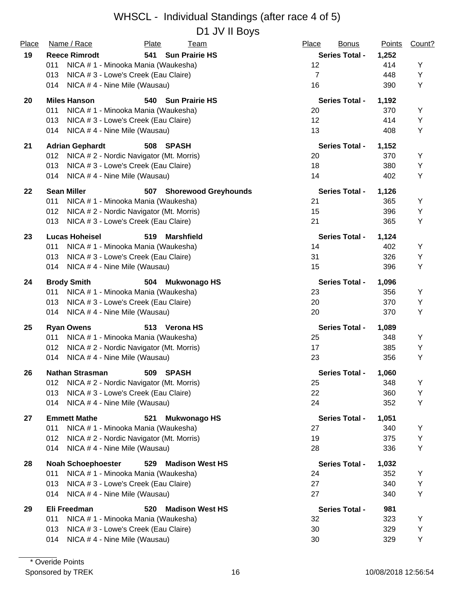#### WHSCL - Individual Standings (after race 4 of 5) D1 JV II Boys

| Place | Name / Race                                     | <b>Plate</b><br><b>Team</b>        | Place<br><b>Bonus</b> | <b>Points</b> | Count? |
|-------|-------------------------------------------------|------------------------------------|-----------------------|---------------|--------|
| 19    | <b>Reece Rimrodt</b>                            | <b>Sun Prairie HS</b><br>541       | <b>Series Total -</b> | 1,252         |        |
|       | 011<br>NICA # 1 - Minooka Mania (Waukesha)      |                                    | 12                    | 414           | Υ      |
|       | NICA # 3 - Lowe's Creek (Eau Claire)<br>013     |                                    | $\overline{7}$        | 448           | Y      |
|       | NICA #4 - Nine Mile (Wausau)<br>014             |                                    | 16                    | 390           | Y      |
| 20    | <b>Miles Hanson</b>                             | 540 Sun Prairie HS                 | <b>Series Total -</b> | 1,192         |        |
|       | 011<br>NICA # 1 - Minooka Mania (Waukesha)      |                                    | 20                    | 370           | Υ      |
|       | NICA # 3 - Lowe's Creek (Eau Claire)<br>013     |                                    | 12                    | 414           | Y      |
|       | NICA #4 - Nine Mile (Wausau)<br>014             |                                    | 13                    | 408           | Υ      |
| 21    | <b>Adrian Gephardt</b>                          | 508<br>SPASH                       | <b>Series Total -</b> | 1,152         |        |
|       | 012<br>NICA # 2 - Nordic Navigator (Mt. Morris) |                                    | 20                    | 370           | Υ      |
|       | 013<br>NICA # 3 - Lowe's Creek (Eau Claire)     |                                    | 18                    | 380           | Y      |
|       | NICA #4 - Nine Mile (Wausau)<br>014             |                                    | 14                    | 402           | Y      |
| 22    | <b>Sean Miller</b>                              | <b>Shorewood Greyhounds</b><br>507 | <b>Series Total -</b> | 1,126         |        |
|       | 011<br>NICA # 1 - Minooka Mania (Waukesha)      |                                    | 21                    | 365           | Υ      |
|       | NICA # 2 - Nordic Navigator (Mt. Morris)<br>012 |                                    | 15                    | 396           | Y      |
|       | 013<br>NICA # 3 - Lowe's Creek (Eau Claire)     |                                    | 21                    | 365           | Y      |
| 23    | <b>Lucas Hoheisel</b>                           | 519<br><b>Marshfield</b>           | <b>Series Total -</b> | 1,124         |        |
|       | NICA # 1 - Minooka Mania (Waukesha)<br>011      |                                    | 14                    | 402           | Υ      |
|       | 013<br>NICA # 3 - Lowe's Creek (Eau Claire)     |                                    | 31                    | 326           | Y      |
|       | NICA #4 - Nine Mile (Wausau)<br>014             |                                    | 15                    | 396           | Y      |
| 24    | <b>Brody Smith</b>                              | 504 Mukwonago HS                   | <b>Series Total -</b> | 1,096         |        |
|       | NICA # 1 - Minooka Mania (Waukesha)<br>011      |                                    | 23                    | 356           | Υ      |
|       | NICA # 3 - Lowe's Creek (Eau Claire)<br>013     |                                    | 20                    | 370           | Y      |
|       | NICA #4 - Nine Mile (Wausau)<br>014             |                                    | 20                    | 370           | Y      |
| 25    | <b>Ryan Owens</b>                               | 513 Verona HS                      | <b>Series Total -</b> | 1,089         |        |
|       | NICA # 1 - Minooka Mania (Waukesha)<br>011      |                                    | 25                    | 348           | Y      |
|       | 012<br>NICA # 2 - Nordic Navigator (Mt. Morris) |                                    | 17                    | 385           | Υ      |
|       | NICA #4 - Nine Mile (Wausau)<br>014             |                                    | 23                    | 356           | Υ      |
| 26    | <b>Nathan Strasman</b>                          | 509<br><b>SPASH</b>                | <b>Series Total -</b> | 1,060         |        |
|       | 012<br>NICA # 2 - Nordic Navigator (Mt. Morris) |                                    | 25                    | 348           | Υ      |
|       | 013<br>NICA # 3 - Lowe's Creek (Eau Claire)     |                                    | 22                    | 360           | Υ      |
|       | NICA #4 - Nine Mile (Wausau)<br>014             |                                    | 24                    | 352           | Y      |
| 27    | <b>Emmett Mathe</b>                             | 521<br><b>Mukwonago HS</b>         | <b>Series Total -</b> | 1,051         |        |
|       | 011<br>NICA # 1 - Minooka Mania (Waukesha)      |                                    | 27                    | 340           | Υ      |
|       | 012<br>NICA # 2 - Nordic Navigator (Mt. Morris) |                                    | 19                    | 375           | Υ      |
|       | 014<br>NICA #4 - Nine Mile (Wausau)             |                                    | 28                    | 336           | Y      |
| 28    | <b>Noah Schoephoester</b>                       | 529<br><b>Madison West HS</b>      | <b>Series Total -</b> | 1,032         |        |
|       | 011<br>NICA # 1 - Minooka Mania (Waukesha)      |                                    | 24                    | 352           | Y      |
|       | 013<br>NICA # 3 - Lowe's Creek (Eau Claire)     |                                    | 27                    | 340           | Y      |
|       | NICA #4 - Nine Mile (Wausau)<br>014             |                                    | 27                    | 340           | Y      |
| 29    | Eli Freedman                                    | 520<br><b>Madison West HS</b>      | <b>Series Total -</b> | 981           |        |
|       | 011<br>NICA # 1 - Minooka Mania (Waukesha)      |                                    | 32                    | 323           | Υ      |
|       | 013<br>NICA # 3 - Lowe's Creek (Eau Claire)     |                                    | 30                    | 329           | Y      |
|       | 014<br>NICA #4 - Nine Mile (Wausau)             |                                    | 30                    | 329           | Y      |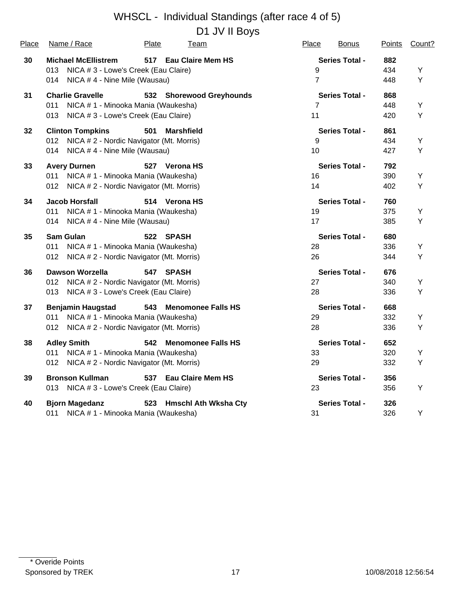D1 JV II Boys

| Place | Name / Race                                     | Plate<br>Team                    | Place<br><b>Bonus</b> | <b>Points</b> | Count? |
|-------|-------------------------------------------------|----------------------------------|-----------------------|---------------|--------|
| 30    | <b>Michael McEllistrem</b>                      | 517 Eau Claire Mem HS            | <b>Series Total -</b> | 882           |        |
|       | NICA # 3 - Lowe's Creek (Eau Claire)<br>013     |                                  | 9                     | 434           | Y      |
|       | 014<br>NICA #4 - Nine Mile (Wausau)             |                                  | $\overline{7}$        | 448           | Υ      |
| 31    | <b>Charlie Gravelle</b>                         | 532 Shorewood Greyhounds         | <b>Series Total -</b> | 868           |        |
|       | NICA # 1 - Minooka Mania (Waukesha)<br>011      |                                  | $\overline{7}$        | 448           | Υ      |
|       | NICA #3 - Lowe's Creek (Eau Claire)<br>013      |                                  | 11                    | 420           | Υ      |
| 32    | <b>Clinton Tompkins</b>                         | 501<br><b>Marshfield</b>         | <b>Series Total -</b> | 861           |        |
|       | 012 NICA # 2 - Nordic Navigator (Mt. Morris)    |                                  | 9                     | 434           | Υ      |
|       | NICA #4 - Nine Mile (Wausau)<br>014             |                                  | 10                    | 427           | Υ      |
| 33    | <b>Avery Durnen</b>                             | 527 Verona HS                    | <b>Series Total -</b> | 792           |        |
|       | NICA # 1 - Minooka Mania (Waukesha)<br>011      |                                  | 16                    | 390           | Υ      |
|       | NICA # 2 - Nordic Navigator (Mt. Morris)<br>012 |                                  | 14                    | 402           | Υ      |
| 34    | <b>Jacob Horsfall</b>                           | 514 Verona HS                    | <b>Series Total -</b> | 760           |        |
|       | 011<br>NICA # 1 - Minooka Mania (Waukesha)      |                                  | 19                    | 375           | Υ      |
|       | NICA #4 - Nine Mile (Wausau)<br>014             |                                  | 17                    | 385           | Υ      |
| 35    | <b>Sam Gulan</b>                                | 522 SPASH                        | <b>Series Total -</b> | 680           |        |
|       | 011<br>NICA # 1 - Minooka Mania (Waukesha)      |                                  | 28                    | 336           | Υ      |
|       | 012<br>NICA # 2 - Nordic Navigator (Mt. Morris) |                                  | 26                    | 344           | Υ      |
| 36    | Dawson Worzella                                 | 547 SPASH                        | <b>Series Total -</b> | 676           |        |
|       | NICA # 2 - Nordic Navigator (Mt. Morris)<br>012 |                                  | 27                    | 340           | Υ      |
|       | NICA # 3 - Lowe's Creek (Eau Claire)<br>013     |                                  | 28                    | 336           | Υ      |
| 37    | <b>Benjamin Haugstad</b>                        | 543 Menomonee Falls HS           | <b>Series Total -</b> | 668           |        |
|       | NICA # 1 - Minooka Mania (Waukesha)<br>011      |                                  | 29                    | 332           | Υ      |
|       | 012<br>NICA # 2 - Nordic Navigator (Mt. Morris) |                                  | 28                    | 336           | Y      |
| 38    | <b>Adley Smith</b>                              | 542<br><b>Menomonee Falls HS</b> | <b>Series Total -</b> | 652           |        |
|       | NICA # 1 - Minooka Mania (Waukesha)<br>011      |                                  | 33                    | 320           | Υ      |
|       | NICA # 2 - Nordic Navigator (Mt. Morris)<br>012 |                                  | 29                    | 332           | Υ      |
| 39    | <b>Bronson Kullman</b>                          | 537 Eau Claire Mem HS            | <b>Series Total -</b> | 356           |        |
|       | NICA # 3 - Lowe's Creek (Eau Claire)<br>013     |                                  | 23                    | 356           | Y      |
| 40    | <b>Bjorn Magedanz</b>                           | 523 Hmschl Ath Wksha Cty         | <b>Series Total -</b> | 326           |        |
|       | NICA # 1 - Minooka Mania (Waukesha)<br>011      |                                  | 31                    | 326           | Υ      |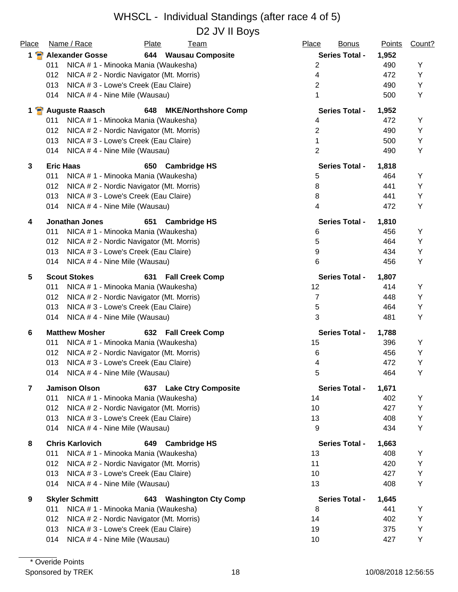#### WHSCL - Individual Standings (after race 4 of 5) D<sub>2</sub> JV II Bovs

| Place                   | Name / Race<br>Plate<br><u>Team</u>                                | Place<br><b>Bonus</b> | <b>Points</b> | Count? |
|-------------------------|--------------------------------------------------------------------|-----------------------|---------------|--------|
| $1 \cdot$               | <b>Alexander Gosse</b><br>644 Wausau Composite                     | <b>Series Total -</b> | 1,952         |        |
|                         | 011<br>NICA # 1 - Minooka Mania (Waukesha)                         | $\overline{2}$        | 490           | Υ      |
|                         | 012<br>NICA # 2 - Nordic Navigator (Mt. Morris)                    | 4                     | 472           | Y      |
|                         | 013<br>NICA # 3 - Lowe's Creek (Eau Claire)                        | $\overline{2}$        | 490           | Y      |
|                         | NICA #4 - Nine Mile (Wausau)<br>014                                | 1                     | 500           | Y      |
|                         | 1 <sup>2</sup> Auguste Raasch<br><b>MKE/Northshore Comp</b><br>648 | <b>Series Total -</b> | 1,952         |        |
|                         | NICA # 1 - Minooka Mania (Waukesha)<br>011                         | 4                     | 472           | Υ      |
|                         | 012<br>NICA # 2 - Nordic Navigator (Mt. Morris)                    | $\overline{2}$        | 490           | Y      |
|                         | 013<br>NICA # 3 - Lowe's Creek (Eau Claire)                        | 1                     | 500           | Υ      |
|                         | NICA #4 - Nine Mile (Wausau)<br>014                                | $\overline{2}$        | 490           | Y      |
| 3                       | <b>Eric Haas</b><br>650<br><b>Cambridge HS</b>                     | <b>Series Total -</b> | 1,818         |        |
|                         | 011<br>NICA # 1 - Minooka Mania (Waukesha)                         | 5                     | 464           | Y      |
|                         | 012<br>NICA # 2 - Nordic Navigator (Mt. Morris)                    | 8                     | 441           | Y      |
|                         | 013<br>NICA # 3 - Lowe's Creek (Eau Claire)                        | 8                     | 441           | Y      |
|                         | NICA #4 - Nine Mile (Wausau)<br>014                                | 4                     | 472           | Y      |
| 4                       | <b>Jonathan Jones</b><br>651<br><b>Cambridge HS</b>                | <b>Series Total -</b> | 1,810         |        |
|                         | NICA # 1 - Minooka Mania (Waukesha)<br>011                         | 6                     | 456           | Υ      |
|                         | 012<br>NICA # 2 - Nordic Navigator (Mt. Morris)                    | 5                     | 464           | Y      |
|                         | 013<br>NICA # 3 - Lowe's Creek (Eau Claire)                        | 9                     | 434           | Y      |
|                         | NICA #4 - Nine Mile (Wausau)<br>014                                | 6                     | 456           | Y      |
| 5                       | <b>Scout Stokes</b><br>631<br><b>Fall Creek Comp</b>               | <b>Series Total -</b> | 1,807         |        |
|                         | NICA # 1 - Minooka Mania (Waukesha)<br>011                         | 12                    | 414           | Υ      |
|                         | NICA # 2 - Nordic Navigator (Mt. Morris)<br>012                    | $\overline{7}$        | 448           | Υ      |
|                         | 013<br>NICA # 3 - Lowe's Creek (Eau Claire)                        | 5                     | 464           | Y      |
|                         | NICA #4 - Nine Mile (Wausau)<br>014                                | 3                     | 481           | Y      |
| 6                       | <b>Matthew Mosher</b><br>632 Fall Creek Comp                       | <b>Series Total -</b> | 1,788         |        |
|                         | 011<br>NICA # 1 - Minooka Mania (Waukesha)                         | 15                    | 396           | Υ      |
|                         | NICA # 2 - Nordic Navigator (Mt. Morris)<br>012                    | 6                     | 456           | Υ      |
|                         | 013<br>NICA # 3 - Lowe's Creek (Eau Claire)                        | 4                     | 472           | Y      |
|                         | NICA #4 - Nine Mile (Wausau)<br>014                                | 5                     | 464           | Υ      |
| $\overline{\mathbf{z}}$ | <b>Jamison Olson</b><br>637 Lake Ctry Composite                    | <b>Series Total -</b> | 1,671         |        |
|                         | 011<br>NICA # 1 - Minooka Mania (Waukesha)                         | 14                    | 402           | Y      |
|                         | 012<br>NICA # 2 - Nordic Navigator (Mt. Morris)                    | 10                    | 427           | Υ      |
|                         | 013<br>NICA # 3 - Lowe's Creek (Eau Claire)                        | 13                    | 408           | Υ      |
|                         | 014<br>NICA #4 - Nine Mile (Wausau)                                | 9                     | 434           | Y      |
| 8                       | <b>Chris Karlovich</b><br><b>Cambridge HS</b><br>649               | <b>Series Total -</b> | 1,663         |        |
|                         | NICA # 1 - Minooka Mania (Waukesha)<br>011                         | 13                    | 408           | Υ      |
|                         | 012<br>NICA # 2 - Nordic Navigator (Mt. Morris)                    | 11                    | 420           | Y      |
|                         | 013<br>NICA # 3 - Lowe's Creek (Eau Claire)                        | 10                    | 427           | Y      |
|                         | 014<br>NICA #4 - Nine Mile (Wausau)                                | 13                    | 408           | Y      |
| 9                       | <b>Skyler Schmitt</b><br><b>Washington Cty Comp</b><br>643         | <b>Series Total -</b> | 1,645         |        |
|                         | NICA # 1 - Minooka Mania (Waukesha)<br>011                         | 8                     | 441           | Υ      |
|                         | 012<br>NICA # 2 - Nordic Navigator (Mt. Morris)                    | 14                    | 402           | Y      |
|                         | 013<br>NICA # 3 - Lowe's Creek (Eau Claire)                        | 19                    | 375           | Y      |
|                         | NICA #4 - Nine Mile (Wausau)<br>014                                | 10                    | 427           | Υ      |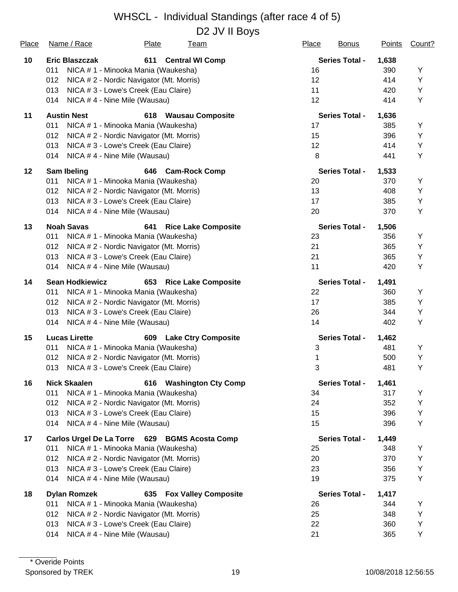| Place | Name / Race                                   | Plate                                    | <u>Team</u>                 | Place | <b>Bonus</b>          | <b>Points</b> | Count? |
|-------|-----------------------------------------------|------------------------------------------|-----------------------------|-------|-----------------------|---------------|--------|
| 10    | <b>Eric Blaszczak</b>                         | 611                                      | <b>Central WI Comp</b>      |       | <b>Series Total -</b> | 1,638         |        |
|       | 011                                           | NICA # 1 - Minooka Mania (Waukesha)      |                             | 16    |                       | 390           | Υ      |
|       | 012                                           | NICA # 2 - Nordic Navigator (Mt. Morris) |                             | 12    |                       | 414           | Υ      |
|       | 013                                           | NICA # 3 - Lowe's Creek (Eau Claire)     |                             | 11    |                       | 420           | Υ      |
|       | 014                                           | NICA #4 - Nine Mile (Wausau)             |                             | 12    |                       | 414           | Υ      |
| 11    | <b>Austin Nest</b>                            | 618                                      | <b>Wausau Composite</b>     |       | <b>Series Total -</b> | 1,636         |        |
|       | 011                                           | NICA # 1 - Minooka Mania (Waukesha)      |                             | 17    |                       | 385           | Υ      |
|       | 012                                           | NICA # 2 - Nordic Navigator (Mt. Morris) |                             | 15    |                       | 396           | Υ      |
|       | 013                                           | NICA # 3 - Lowe's Creek (Eau Claire)     |                             | 12    |                       | 414           | Y      |
|       | 014                                           | NICA #4 - Nine Mile (Wausau)             |                             | 8     |                       | 441           | Υ      |
| 12    | Sam Ibeling                                   | 646                                      | <b>Cam-Rock Comp</b>        |       | <b>Series Total -</b> | 1,533         |        |
|       | 011                                           | NICA # 1 - Minooka Mania (Waukesha)      |                             | 20    |                       | 370           | Y      |
|       | 012                                           | NICA # 2 - Nordic Navigator (Mt. Morris) |                             | 13    |                       | 408           | Υ      |
|       | 013                                           | NICA # 3 - Lowe's Creek (Eau Claire)     |                             | 17    |                       | 385           | Υ      |
|       | 014                                           | NICA #4 - Nine Mile (Wausau)             |                             | 20    |                       | 370           | Υ      |
| 13    | <b>Noah Savas</b>                             | 641                                      | <b>Rice Lake Composite</b>  |       | <b>Series Total -</b> | 1,506         |        |
|       | 011                                           | NICA # 1 - Minooka Mania (Waukesha)      |                             | 23    |                       | 356           | Υ      |
|       | 012                                           | NICA # 2 - Nordic Navigator (Mt. Morris) |                             | 21    |                       | 365           | Υ      |
|       | 013                                           | NICA # 3 - Lowe's Creek (Eau Claire)     |                             | 21    |                       | 365           | Υ      |
|       | 014                                           | NICA #4 - Nine Mile (Wausau)             |                             | 11    |                       | 420           | Υ      |
| 14    | <b>Sean Hodkiewicz</b>                        | 653                                      | <b>Rice Lake Composite</b>  |       | <b>Series Total -</b> | 1,491         |        |
|       | 011                                           | NICA # 1 - Minooka Mania (Waukesha)      |                             | 22    |                       | 360           | Y      |
|       | 012                                           | NICA # 2 - Nordic Navigator (Mt. Morris) |                             | 17    |                       | 385           | Υ      |
|       | 013                                           | NICA # 3 - Lowe's Creek (Eau Claire)     |                             | 26    |                       | 344           | Υ      |
|       | 014                                           | NICA #4 - Nine Mile (Wausau)             |                             | 14    |                       | 402           | Υ      |
| 15    | <b>Lucas Lirette</b>                          | 609                                      | <b>Lake Ctry Composite</b>  |       | <b>Series Total -</b> | 1,462         |        |
|       | 011                                           | NICA # 1 - Minooka Mania (Waukesha)      |                             | 3     |                       | 481           | Υ      |
|       | 012                                           | NICA # 2 - Nordic Navigator (Mt. Morris) |                             | 1     |                       | 500           | Υ      |
|       | 013                                           | NICA # 3 - Lowe's Creek (Eau Claire)     |                             | 3     |                       | 481           | Y      |
| 16    | <b>Nick Skaalen</b>                           | 616                                      | <b>Washington Cty Comp</b>  |       | <b>Series Total -</b> | 1,461         |        |
|       | 011                                           | NICA # 1 - Minooka Mania (Waukesha)      |                             | 34    |                       | 317           | Υ      |
|       | 012                                           | NICA # 2 - Nordic Navigator (Mt. Morris) |                             | 24    |                       | 352           | Υ      |
|       | 013                                           | NICA # 3 - Lowe's Creek (Eau Claire)     |                             | 15    |                       | 396           | Υ      |
|       | 014                                           | NICA #4 - Nine Mile (Wausau)             |                             | 15    |                       | 396           | Υ      |
| 17    | Carlos Urgel De La Torre 629 BGMS Acosta Comp |                                          |                             |       | <b>Series Total -</b> | 1,449         |        |
|       | 011                                           | NICA # 1 - Minooka Mania (Waukesha)      |                             | 25    |                       | 348           | Υ      |
|       | 012                                           | NICA # 2 - Nordic Navigator (Mt. Morris) |                             | 20    |                       | 370           | Υ      |
|       | 013                                           | NICA # 3 - Lowe's Creek (Eau Claire)     |                             | 23    |                       | 356           | Υ      |
|       | 014                                           | NICA #4 - Nine Mile (Wausau)             |                             | 19    |                       | 375           | Υ      |
| 18    | <b>Dylan Romzek</b>                           | 635                                      | <b>Fox Valley Composite</b> |       | <b>Series Total -</b> | 1,417         |        |
|       | 011                                           | NICA # 1 - Minooka Mania (Waukesha)      |                             | 26    |                       | 344           | Y      |
|       | 012                                           | NICA # 2 - Nordic Navigator (Mt. Morris) |                             | 25    |                       | 348           | Υ      |
|       | 013                                           | NICA # 3 - Lowe's Creek (Eau Claire)     |                             | 22    |                       | 360           | Υ      |
|       | 014                                           | NICA #4 - Nine Mile (Wausau)             |                             | 21    |                       | 365           | Υ      |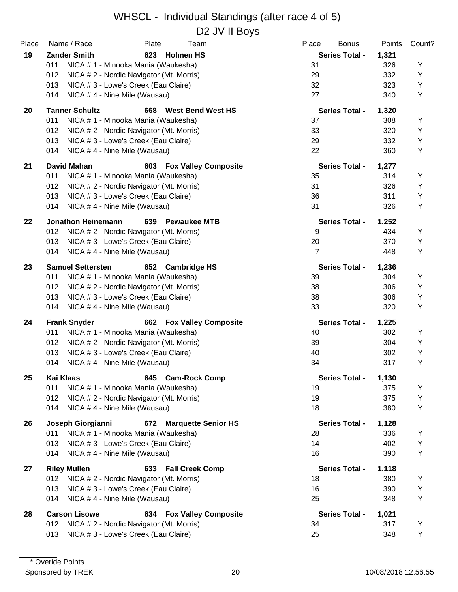#### WHSCL - Individual Standings (after race 4 of 5) D<sub>2</sub> JV II Bovs

| Place | Name / Race                         | Plate                                    | <u>Team</u>                     | Place<br><b>Bonus</b> | <b>Points</b> | Count? |
|-------|-------------------------------------|------------------------------------------|---------------------------------|-----------------------|---------------|--------|
| 19    | <b>Zander Smith</b>                 | 623                                      | <b>Holmen HS</b>                | <b>Series Total -</b> | 1,321         |        |
|       | 011                                 | NICA # 1 - Minooka Mania (Waukesha)      |                                 | 31                    | 326           | Υ      |
|       | 012                                 | NICA # 2 - Nordic Navigator (Mt. Morris) |                                 | 29                    | 332           | Υ      |
|       | 013                                 | NICA # 3 - Lowe's Creek (Eau Claire)     |                                 | 32                    | 323           | Υ      |
|       | NICA #4 - Nine Mile (Wausau)<br>014 |                                          |                                 | 27                    | 340           | Υ      |
| 20    | <b>Tanner Schultz</b>               | 668                                      | <b>West Bend West HS</b>        | <b>Series Total -</b> | 1,320         |        |
|       | 011                                 | NICA # 1 - Minooka Mania (Waukesha)      |                                 | 37                    | 308           | Υ      |
|       | 012                                 | NICA # 2 - Nordic Navigator (Mt. Morris) |                                 | 33                    | 320           | Υ      |
|       | 013                                 | NICA # 3 - Lowe's Creek (Eau Claire)     |                                 | 29                    | 332           | Υ      |
|       | NICA #4 - Nine Mile (Wausau)<br>014 |                                          |                                 | 22                    | 360           | Υ      |
| 21    | <b>David Mahan</b>                  | 603                                      | <b>Fox Valley Composite</b>     | <b>Series Total -</b> | 1,277         |        |
|       | 011                                 | NICA # 1 - Minooka Mania (Waukesha)      |                                 | 35                    | 314           | Y      |
|       | 012                                 | NICA # 2 - Nordic Navigator (Mt. Morris) |                                 | 31                    | 326           | Υ      |
|       | 013                                 | NICA # 3 - Lowe's Creek (Eau Claire)     |                                 | 36                    | 311           | Υ      |
|       | NICA #4 - Nine Mile (Wausau)<br>014 |                                          |                                 | 31                    | 326           | Υ      |
| 22    | <b>Jonathon Heinemann</b>           | 639                                      | <b>Pewaukee MTB</b>             | <b>Series Total -</b> | 1,252         |        |
|       | 012                                 | NICA # 2 - Nordic Navigator (Mt. Morris) |                                 | 9                     | 434           | Y      |
|       | 013                                 | NICA # 3 - Lowe's Creek (Eau Claire)     |                                 | 20                    | 370           | Υ      |
|       | NICA #4 - Nine Mile (Wausau)<br>014 |                                          |                                 | $\overline{7}$        | 448           | Y      |
| 23    | <b>Samuel Settersten</b>            |                                          | 652 Cambridge HS                | <b>Series Total -</b> | 1,236         |        |
|       | 011                                 | NICA # 1 - Minooka Mania (Waukesha)      |                                 | 39                    | 304           | Υ      |
|       | 012                                 | NICA # 2 - Nordic Navigator (Mt. Morris) |                                 | 38                    | 306           | Υ      |
|       | 013                                 | NICA # 3 - Lowe's Creek (Eau Claire)     |                                 | 38                    | 306           | Υ      |
|       | NICA #4 - Nine Mile (Wausau)<br>014 |                                          |                                 | 33                    | 320           | Υ      |
| 24    | <b>Frank Snyder</b>                 |                                          | <b>662 Fox Valley Composite</b> | <b>Series Total -</b> | 1,225         |        |
|       | 011                                 | NICA # 1 - Minooka Mania (Waukesha)      |                                 | 40                    | 302           | Y      |
|       | 012                                 | NICA # 2 - Nordic Navigator (Mt. Morris) |                                 | 39                    | 304           | Y      |
|       | 013                                 | NICA # 3 - Lowe's Creek (Eau Claire)     |                                 | 40                    | 302           | Υ      |
|       | NICA #4 - Nine Mile (Wausau)<br>014 |                                          |                                 | 34                    | 317           | Υ      |
| 25    | Kai Klaas                           |                                          | 645 Cam-Rock Comp               | <b>Series Total -</b> | 1,130         |        |
|       | 011                                 | NICA # 1 - Minooka Mania (Waukesha)      |                                 | 19                    | 375           | Υ      |
|       | 012                                 | NICA # 2 - Nordic Navigator (Mt. Morris) |                                 | 19                    | 375           | Y      |
|       | 014<br>NICA #4 - Nine Mile (Wausau) |                                          |                                 | 18                    | 380           | Υ      |
| 26    | Joseph Giorgianni                   | 672                                      | <b>Marquette Senior HS</b>      | <b>Series Total -</b> | 1,128         |        |
|       | 011                                 | NICA # 1 - Minooka Mania (Waukesha)      |                                 | 28                    | 336           | Y      |
|       | 013                                 | NICA # 3 - Lowe's Creek (Eau Claire)     |                                 | 14                    | 402           | Υ      |
|       | NICA #4 - Nine Mile (Wausau)<br>014 |                                          |                                 | 16                    | 390           | Y      |
| 27    | <b>Riley Mullen</b>                 | 633                                      | <b>Fall Creek Comp</b>          | <b>Series Total -</b> | 1,118         |        |
|       | 012                                 | NICA # 2 - Nordic Navigator (Mt. Morris) |                                 | 18                    | 380           | Υ      |
|       | 013                                 | NICA # 3 - Lowe's Creek (Eau Claire)     |                                 | 16                    | 390           | Υ      |
|       | NICA #4 - Nine Mile (Wausau)<br>014 |                                          |                                 | 25                    | 348           | Υ      |
| 28    | <b>Carson Lisowe</b>                |                                          | <b>634 Fox Valley Composite</b> | <b>Series Total -</b> | 1,021         |        |
|       | 012                                 | NICA # 2 - Nordic Navigator (Mt. Morris) |                                 | 34                    | 317           | Υ      |
|       | 013                                 | NICA # 3 - Lowe's Creek (Eau Claire)     |                                 | 25                    | 348           | Υ      |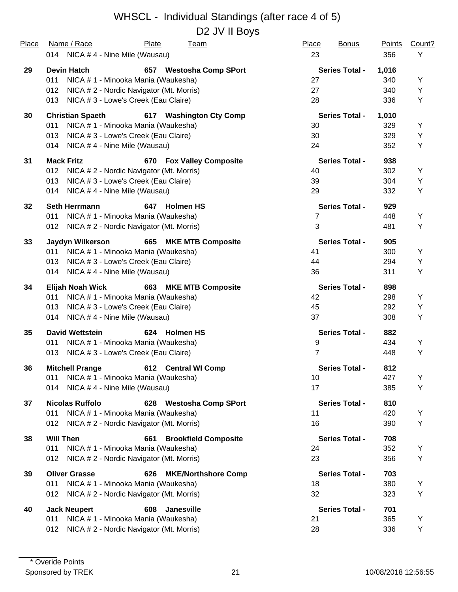#### WHSCL - Individual Standings (after race 4 of 5) D<sub>2</sub> JV II Bovs

| Place | Name / Race<br>Plate<br><u>Team</u>                                   | Place<br><b>Bonus</b> | <b>Points</b> | Count? |
|-------|-----------------------------------------------------------------------|-----------------------|---------------|--------|
|       | 014 NICA #4 - Nine Mile (Wausau)                                      | 23                    | 356           | Υ      |
|       |                                                                       |                       |               |        |
| 29    | <b>Devin Hatch</b><br>657 Westosha Comp SPort                         | <b>Series Total -</b> | 1,016         |        |
|       | 011<br>NICA # 1 - Minooka Mania (Waukesha)                            | 27                    | 340           | Y      |
|       | 012<br>NICA # 2 - Nordic Navigator (Mt. Morris)                       | 27                    | 340           | Y      |
|       | NICA #3 - Lowe's Creek (Eau Claire)<br>013                            | 28                    | 336           | Y      |
| 30    | <b>Christian Spaeth</b><br>617 Washington Cty Comp                    | <b>Series Total -</b> | 1,010         |        |
|       | NICA # 1 - Minooka Mania (Waukesha)<br>011                            | 30                    | 329           | Υ      |
|       | NICA # 3 - Lowe's Creek (Eau Claire)<br>013                           | 30                    | 329           | Υ      |
|       | NICA #4 - Nine Mile (Wausau)<br>014                                   | 24                    | 352           | Υ      |
| 31    | <b>Mack Fritz</b><br>670 Fox Valley Composite                         | <b>Series Total -</b> | 938           |        |
|       | 012<br>NICA # 2 - Nordic Navigator (Mt. Morris)                       | 40                    | 302           | Y      |
|       | 013<br>NICA # 3 - Lowe's Creek (Eau Claire)                           | 39                    | 304           | Υ      |
|       | 014<br>NICA #4 - Nine Mile (Wausau)                                   | 29                    | 332           | Υ      |
| 32    | <b>Seth Herrmann</b><br>647<br><b>Holmen HS</b>                       | <b>Series Total -</b> | 929           |        |
|       | NICA # 1 - Minooka Mania (Waukesha)<br>011                            | 7                     | 448           | Υ      |
|       | NICA # 2 - Nordic Navigator (Mt. Morris)<br>012                       | 3                     | 481           | Υ      |
|       |                                                                       | <b>Series Total -</b> |               |        |
| 33    | <b>Jaydyn Wilkerson</b><br>665 MKE MTB Composite<br>011               | 41                    | 905<br>300    | Y      |
|       | NICA # 1 - Minooka Mania (Waukesha)<br>013                            | 44                    | 294           | Y      |
|       | NICA # 3 - Lowe's Creek (Eau Claire)                                  | 36                    |               |        |
|       | NICA #4 - Nine Mile (Wausau)<br>014                                   |                       | 311           | Υ      |
| 34    | <b>Elijah Noah Wick</b><br>663 MKE MTB Composite                      | <b>Series Total -</b> | 898           |        |
|       | NICA # 1 - Minooka Mania (Waukesha)<br>011                            | 42                    | 298           | Y      |
|       | NICA # 3 - Lowe's Creek (Eau Claire)<br>013                           | 45                    | 292           | Υ      |
|       | NICA #4 - Nine Mile (Wausau)<br>014                                   | 37                    | 308           | Υ      |
| 35    | <b>David Wettstein</b><br>624 Holmen HS                               | <b>Series Total -</b> | 882           |        |
|       | NICA # 1 - Minooka Mania (Waukesha)<br>011                            | 9                     | 434           | Υ      |
|       | NICA # 3 - Lowe's Creek (Eau Claire)<br>013                           | 7                     | 448           | Υ      |
| 36    | <b>Mitchell Prange</b><br>612 Central WI Comp                         | <b>Series Total -</b> | 812           |        |
|       | NICA # 1 - Minooka Mania (Waukesha)<br>011                            | 10                    | 427           | Υ      |
|       | NICA #4 - Nine Mile (Wausau)<br>014                                   | 17                    | 385           | Υ      |
|       | <b>Nicolas Ruffolo</b>                                                | <b>Series Total -</b> | 810           |        |
| 37    | 628 Westosha Comp SPort<br>NICA # 1 - Minooka Mania (Waukesha)<br>011 | 11                    | 420           | Y      |
|       | NICA # 2 - Nordic Navigator (Mt. Morris)<br>012                       | 16                    | 390           | Υ      |
|       |                                                                       |                       |               |        |
| 38    | <b>Will Then</b><br><b>Brookfield Composite</b><br>661                | <b>Series Total -</b> | 708           |        |
|       | NICA # 1 - Minooka Mania (Waukesha)<br>011                            | 24                    | 352           | Y      |
|       | NICA # 2 - Nordic Navigator (Mt. Morris)<br>012                       | 23                    | 356           | Υ      |
| 39    | <b>Oliver Grasse</b><br><b>MKE/Northshore Comp</b><br>626             | <b>Series Total -</b> | 703           |        |
|       | NICA # 1 - Minooka Mania (Waukesha)<br>011                            | 18                    | 380           | Y      |
|       | NICA # 2 - Nordic Navigator (Mt. Morris)<br>012                       | 32                    | 323           | Υ      |
| 40    | <b>Jack Neupert</b><br>Janesville<br>608                              | <b>Series Total -</b> | 701           |        |
|       | NICA # 1 - Minooka Mania (Waukesha)<br>011                            | 21                    | 365           | Y      |
|       | NICA # 2 - Nordic Navigator (Mt. Morris)<br>012                       | 28                    | 336           | Υ      |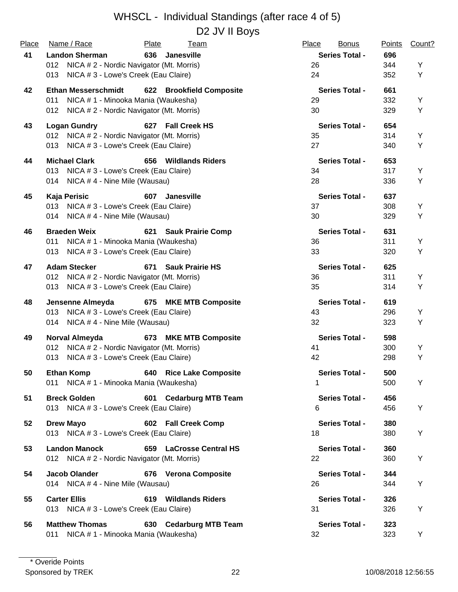#### WHSCL - Individual Standings (after race 4 of 5) D<sub>2</sub> JV II Boys

| Place | Name / Race                                                     | Plate<br><u>Team</u>               | Place<br><b>Bonus</b> | <b>Points</b> | Count? |
|-------|-----------------------------------------------------------------|------------------------------------|-----------------------|---------------|--------|
| 41    | <b>Landon Sherman</b>                                           | 636<br><b>Janesville</b>           | <b>Series Total -</b> | 696           |        |
|       | NICA # 2 - Nordic Navigator (Mt. Morris)<br>012                 |                                    | 26                    | 344           | Y      |
|       | NICA # 3 - Lowe's Creek (Eau Claire)<br>013                     |                                    | 24                    | 352           | Υ      |
| 42    | <b>Ethan Messerschmidt</b>                                      | 622 Brookfield Composite           | <b>Series Total -</b> | 661           |        |
|       | NICA # 1 - Minooka Mania (Waukesha)<br>011                      |                                    | 29                    | 332           | Y      |
|       | NICA # 2 - Nordic Navigator (Mt. Morris)<br>012                 |                                    | 30                    | 329           | Y      |
| 43    | <b>Logan Gundry</b>                                             | 627 Fall Creek HS                  | <b>Series Total -</b> | 654           |        |
|       | 012 NICA # 2 - Nordic Navigator (Mt. Morris)                    |                                    | 35                    | 314           | Y      |
|       | 013 NICA # 3 - Lowe's Creek (Eau Claire)                        |                                    | 27                    | 340           | Υ      |
| 44    | <b>Michael Clark</b>                                            | 656 Wildlands Riders               | <b>Series Total -</b> | 653           |        |
|       | 013 NICA # 3 - Lowe's Creek (Eau Claire)                        |                                    | 34                    | 317           | Y      |
|       | 014 NICA #4 - Nine Mile (Wausau)                                |                                    | 28                    | 336           | Y      |
| 45    | Kaja Perisic                                                    | 607<br><b>Janesville</b>           | <b>Series Total -</b> | 637           |        |
|       | 013 NICA # 3 - Lowe's Creek (Eau Claire)                        |                                    | 37                    | 308           | Y      |
|       | 014 NICA #4 - Nine Mile (Wausau)                                |                                    | 30                    | 329           | Y      |
| 46    | <b>Braeden Weix</b>                                             | 621 Sauk Prairie Comp              | <b>Series Total -</b> | 631           |        |
|       | 011<br>NICA # 1 - Minooka Mania (Waukesha)                      |                                    | 36                    | 311           | Y      |
|       | 013 NICA # 3 - Lowe's Creek (Eau Claire)                        |                                    | 33                    | 320           | Υ      |
| 47    | <b>Adam Stecker</b>                                             | 671<br><b>Sauk Prairie HS</b>      | <b>Series Total -</b> | 625           |        |
|       | 012 NICA # 2 - Nordic Navigator (Mt. Morris)                    |                                    | 36                    | 311           | Υ      |
|       | 013 NICA # 3 - Lowe's Creek (Eau Claire)                        |                                    | 35                    | 314           | Υ      |
|       |                                                                 |                                    | <b>Series Total -</b> |               |        |
| 48    | Jensenne Almeyda<br>NICA # 3 - Lowe's Creek (Eau Claire)<br>013 | 675 MKE MTB Composite              | 43                    | 619<br>296    | Y      |
|       | 014 NICA #4 - Nine Mile (Wausau)                                |                                    | 32                    | 323           | Y      |
|       |                                                                 |                                    |                       |               |        |
| 49    | Norval Almeyda                                                  | 673 MKE MTB Composite              | <b>Series Total -</b> | 598           |        |
|       | NICA # 2 - Nordic Navigator (Mt. Morris)<br>012                 |                                    | 41                    | 300           | Y      |
|       | NICA # 3 - Lowe's Creek (Eau Claire)<br>013                     |                                    | 42                    | 298           | Y      |
| 50    |                                                                 | Ethan Komp 640 Rice Lake Composite | <b>Series Total -</b> | 500           |        |
|       | 011 NICA # 1 - Minooka Mania (Waukesha)                         |                                    | 1                     | 500           | Y      |
| 51    | <b>Breck Golden</b>                                             | 601 Cedarburg MTB Team             | <b>Series Total -</b> | 456           |        |
|       | 013 NICA # 3 - Lowe's Creek (Eau Claire)                        |                                    | 6                     | 456           | Y      |
| 52    | <b>Drew Mayo</b>                                                | 602 Fall Creek Comp                | <b>Series Total -</b> | 380           |        |
|       | 013 NICA # 3 - Lowe's Creek (Eau Claire)                        |                                    | 18                    | 380           | Υ      |
| 53    | <b>Landon Manock</b>                                            | 659 LaCrosse Central HS            | <b>Series Total -</b> | 360           |        |
|       | 012 NICA # 2 - Nordic Navigator (Mt. Morris)                    |                                    | 22                    | 360           | Υ      |
| 54    | Jacob Olander                                                   | 676 Verona Composite               | <b>Series Total -</b> | 344           |        |
|       | 014 NICA #4 - Nine Mile (Wausau)                                |                                    | 26                    | 344           | Y      |
|       |                                                                 |                                    |                       |               |        |
| 55    | <b>Carter Ellis</b>                                             | 619 Wildlands Riders               | <b>Series Total -</b> | 326           |        |
|       | 013 NICA # 3 - Lowe's Creek (Eau Claire)                        |                                    | 31                    | 326           | Υ      |
| 56    | <b>Matthew Thomas</b>                                           | 630 Cedarburg MTB Team             | <b>Series Total -</b> | 323           |        |
|       | 011<br>NICA # 1 - Minooka Mania (Waukesha)                      |                                    | 32                    | 323           | Y      |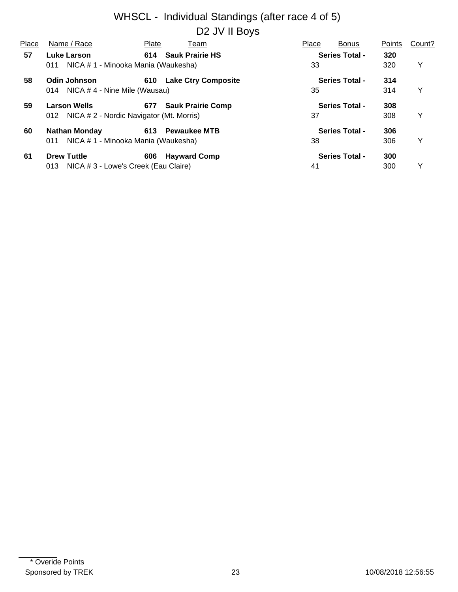#### WHSCL - Individual Standings (after race 4 of 5) D<sub>2</sub> JV II Boys

| Place | Name / Race                                  | Plate | Team                     | Place | <b>Bonus</b>          | Points | Count? |
|-------|----------------------------------------------|-------|--------------------------|-------|-----------------------|--------|--------|
| 57    | Luke Larson                                  |       | 614 Sauk Prairie HS      |       | <b>Series Total -</b> | 320    |        |
|       | NICA # 1 - Minooka Mania (Waukesha)<br>011   |       |                          | 33    |                       | 320    | Y      |
| 58    | Odin Johnson                                 |       | 610 Lake Ctry Composite  |       | <b>Series Total -</b> | 314    |        |
|       | NICA # 4 - Nine Mile (Wausau)<br>014         |       |                          | 35    |                       | 314    | Y      |
| 59    | <b>Larson Wells</b>                          | 677   | <b>Sauk Prairie Comp</b> |       | <b>Series Total -</b> | 308    |        |
|       | 012 NICA # 2 - Nordic Navigator (Mt. Morris) |       |                          | 37    |                       | 308    | Y      |
| 60    | <b>Nathan Monday</b>                         |       | 613 Pewaukee MTB         |       | <b>Series Total -</b> | 306    |        |
|       | NICA # 1 - Minooka Mania (Waukesha)<br>011   |       |                          | 38    |                       | 306    | Y      |
| 61    | <b>Drew Tuttle</b>                           | 606   | <b>Hayward Comp</b>      |       | <b>Series Total -</b> | 300    |        |
|       | NICA # 3 - Lowe's Creek (Eau Claire)<br>013  |       |                          | 41    |                       | 300    | Y      |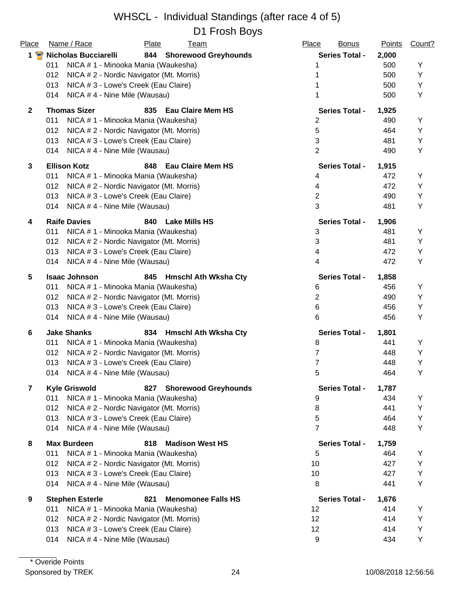| Place          | Name / Race                                     | Plate | <b>Team</b>                 | Place          | <b>Bonus</b>          | <b>Points</b> | Count? |
|----------------|-------------------------------------------------|-------|-----------------------------|----------------|-----------------------|---------------|--------|
|                | 1 P Nicholas Bucciarelli                        |       | 844 Shorewood Greyhounds    |                | <b>Series Total -</b> | 2,000         |        |
|                | NICA # 1 - Minooka Mania (Waukesha)<br>011      |       |                             |                |                       | 500           | Y      |
|                | NICA # 2 - Nordic Navigator (Mt. Morris)<br>012 |       |                             |                |                       | 500           | Υ      |
|                | NICA # 3 - Lowe's Creek (Eau Claire)<br>013     |       |                             |                |                       | 500           | Υ      |
|                | NICA #4 - Nine Mile (Wausau)<br>014             |       |                             |                |                       | 500           | Υ      |
| $\overline{2}$ | <b>Thomas Sizer</b>                             |       | 835 Eau Claire Mem HS       |                | <b>Series Total -</b> | 1,925         |        |
|                | 011<br>NICA # 1 - Minooka Mania (Waukesha)      |       |                             | 2              |                       | 490           | Y      |
|                | NICA # 2 - Nordic Navigator (Mt. Morris)<br>012 |       |                             | 5              |                       | 464           | Υ      |
|                | NICA # 3 - Lowe's Creek (Eau Claire)<br>013     |       |                             | 3              |                       | 481           | Υ      |
|                | 014<br>NICA #4 - Nine Mile (Wausau)             |       |                             | $\overline{2}$ |                       | 490           | Υ      |
| 3              | <b>Ellison Kotz</b>                             | 848   | <b>Eau Claire Mem HS</b>    |                | <b>Series Total -</b> | 1,915         |        |
|                | 011<br>NICA # 1 - Minooka Mania (Waukesha)      |       |                             | 4              |                       | 472           | Υ      |
|                | NICA # 2 - Nordic Navigator (Mt. Morris)<br>012 |       |                             | 4              |                       | 472           | Y      |
|                | 013<br>NICA # 3 - Lowe's Creek (Eau Claire)     |       |                             | $\overline{2}$ |                       | 490           | Υ      |
|                | NICA # 4 - Nine Mile (Wausau)<br>014            |       |                             | 3              |                       | 481           | Υ      |
| 4              | <b>Raife Davies</b>                             | 840   | <b>Lake Mills HS</b>        |                | <b>Series Total -</b> | 1,906         |        |
|                | NICA # 1 - Minooka Mania (Waukesha)<br>011      |       |                             | 3              |                       | 481           | Υ      |
|                | 012<br>NICA # 2 - Nordic Navigator (Mt. Morris) |       |                             | 3              |                       | 481           | Υ      |
|                | NICA # 3 - Lowe's Creek (Eau Claire)<br>013     |       |                             | 4              |                       | 472           | Y      |
|                | NICA #4 - Nine Mile (Wausau)<br>014             |       |                             | 4              |                       | 472           | Υ      |
| 5              | <b>Isaac Johnson</b>                            | 845   | <b>Hmschl Ath Wksha Cty</b> |                | <b>Series Total -</b> | 1,858         |        |
|                | NICA # 1 - Minooka Mania (Waukesha)<br>011      |       |                             | 6              |                       | 456           | Υ      |
|                | NICA # 2 - Nordic Navigator (Mt. Morris)<br>012 |       |                             | $\overline{2}$ |                       | 490           | Υ      |
|                | NICA # 3 - Lowe's Creek (Eau Claire)<br>013     |       |                             | 6              |                       | 456           | Υ      |
|                | NICA #4 - Nine Mile (Wausau)<br>014             |       |                             | 6              |                       | 456           | Υ      |
| 6              | <b>Jake Shanks</b>                              |       | 834 Hmschl Ath Wksha Cty    |                | <b>Series Total -</b> | 1,801         |        |
|                | 011<br>NICA # 1 - Minooka Mania (Waukesha)      |       |                             | 8              |                       | 441           | Y      |
|                | 012<br>NICA # 2 - Nordic Navigator (Mt. Morris) |       |                             | 7              |                       | 448           | Y      |
|                | NICA # 3 - Lowe's Creek (Eau Claire)<br>013     |       |                             | 7              |                       | 448           | Υ      |
|                | 014 NICA # 4 - Nine Mile (Wausau)               |       |                             | 5              |                       | 464           | Y      |
| $\overline{7}$ | <b>Kyle Griswold</b>                            | 827   | <b>Shorewood Greyhounds</b> |                | <b>Series Total -</b> | 1,787         |        |
|                | NICA # 1 - Minooka Mania (Waukesha)<br>011      |       |                             | 9              |                       | 434           | Y      |
|                | 012<br>NICA # 2 - Nordic Navigator (Mt. Morris) |       |                             | 8              |                       | 441           | Υ      |
|                | 013<br>NICA # 3 - Lowe's Creek (Eau Claire)     |       |                             | 5              |                       | 464           | Υ      |
|                | 014<br>NICA #4 - Nine Mile (Wausau)             |       |                             | $\overline{7}$ |                       | 448           | Y      |
| 8              | <b>Max Burdeen</b>                              | 818   | <b>Madison West HS</b>      |                | <b>Series Total -</b> | 1,759         |        |
|                | 011<br>NICA # 1 - Minooka Mania (Waukesha)      |       |                             | 5              |                       | 464           | Y      |
|                | 012<br>NICA # 2 - Nordic Navigator (Mt. Morris) |       |                             | 10             |                       | 427           | Υ      |
|                | 013<br>NICA # 3 - Lowe's Creek (Eau Claire)     |       |                             | 10             |                       | 427           | Υ      |
|                | 014<br>NICA #4 - Nine Mile (Wausau)             |       |                             | 8              |                       | 441           | Υ      |
| 9              | <b>Stephen Esterle</b>                          | 821   | <b>Menomonee Falls HS</b>   |                | <b>Series Total -</b> | 1,676         |        |
|                | NICA # 1 - Minooka Mania (Waukesha)<br>011      |       |                             | 12             |                       | 414           | Y      |
|                | 012<br>NICA # 2 - Nordic Navigator (Mt. Morris) |       |                             | 12             |                       | 414           | Y      |
|                | 013<br>NICA # 3 - Lowe's Creek (Eau Claire)     |       |                             | 12             |                       | 414           | Υ      |
|                | NICA #4 - Nine Mile (Wausau)<br>014             |       |                             | 9              |                       | 434           | Υ      |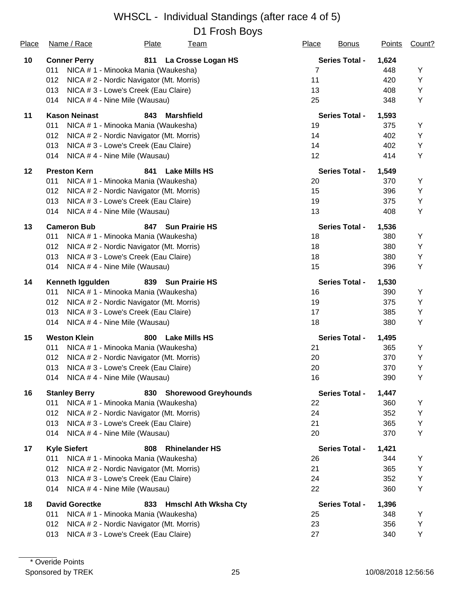| Place | Name / Race           | <b>Plate</b>                             | <b>Team</b>                 | Place | <b>Bonus</b>          | Points | Count? |
|-------|-----------------------|------------------------------------------|-----------------------------|-------|-----------------------|--------|--------|
| 10    | <b>Conner Perry</b>   | 811                                      | La Crosse Logan HS          |       | <b>Series Total -</b> | 1,624  |        |
|       | 011                   | NICA # 1 - Minooka Mania (Waukesha)      |                             | 7     |                       | 448    | Υ      |
|       | 012                   | NICA # 2 - Nordic Navigator (Mt. Morris) |                             | 11    |                       | 420    | Υ      |
|       | 013                   | NICA # 3 - Lowe's Creek (Eau Claire)     |                             | 13    |                       | 408    | Υ      |
|       | 014                   | NICA #4 - Nine Mile (Wausau)             |                             | 25    |                       | 348    | Υ      |
| 11    | <b>Kason Neinast</b>  | 843                                      | <b>Marshfield</b>           |       | <b>Series Total -</b> | 1,593  |        |
|       | 011                   | NICA # 1 - Minooka Mania (Waukesha)      |                             | 19    |                       | 375    | Y      |
|       | 012                   | NICA # 2 - Nordic Navigator (Mt. Morris) |                             | 14    |                       | 402    | Υ      |
|       | 013                   | NICA # 3 - Lowe's Creek (Eau Claire)     |                             | 14    |                       | 402    | Υ      |
|       | 014                   | NICA #4 - Nine Mile (Wausau)             |                             | 12    |                       | 414    | Υ      |
| 12    | <b>Preston Kern</b>   | 841                                      | <b>Lake Mills HS</b>        |       | <b>Series Total -</b> | 1,549  |        |
|       | 011                   | NICA # 1 - Minooka Mania (Waukesha)      |                             | 20    |                       | 370    | Υ      |
|       | 012                   | NICA # 2 - Nordic Navigator (Mt. Morris) |                             | 15    |                       | 396    | Υ      |
|       | 013                   | NICA # 3 - Lowe's Creek (Eau Claire)     |                             | 19    |                       | 375    | Υ      |
|       | 014                   | NICA #4 - Nine Mile (Wausau)             |                             | 13    |                       | 408    | Υ      |
| 13    | <b>Cameron Bub</b>    | 847                                      | <b>Sun Prairie HS</b>       |       | <b>Series Total -</b> | 1,536  |        |
|       | 011                   | NICA # 1 - Minooka Mania (Waukesha)      |                             | 18    |                       | 380    | Υ      |
|       | 012                   | NICA # 2 - Nordic Navigator (Mt. Morris) |                             | 18    |                       | 380    | Υ      |
|       | 013                   | NICA # 3 - Lowe's Creek (Eau Claire)     |                             | 18    |                       | 380    | Υ      |
|       | 014                   | NICA #4 - Nine Mile (Wausau)             |                             | 15    |                       | 396    | Υ      |
| 14    | Kenneth Iggulden      | 839                                      | <b>Sun Prairie HS</b>       |       | <b>Series Total -</b> | 1,530  |        |
|       | 011                   | NICA # 1 - Minooka Mania (Waukesha)      |                             | 16    |                       | 390    | Y      |
|       | 012                   | NICA # 2 - Nordic Navigator (Mt. Morris) |                             | 19    |                       | 375    | Υ      |
|       | 013                   | NICA # 3 - Lowe's Creek (Eau Claire)     |                             | 17    |                       | 385    | Υ      |
|       | 014                   | NICA #4 - Nine Mile (Wausau)             |                             | 18    |                       | 380    | Υ      |
| 15    | <b>Weston Klein</b>   | 800                                      | <b>Lake Mills HS</b>        |       | <b>Series Total -</b> | 1,495  |        |
|       | 011                   | NICA # 1 - Minooka Mania (Waukesha)      |                             | 21    |                       | 365    | Υ      |
|       | 012                   | NICA # 2 - Nordic Navigator (Mt. Morris) |                             | 20    |                       | 370    | Υ      |
|       | 013                   | NICA # 3 - Lowe's Creek (Eau Claire)     |                             | 20    |                       | 370    | Υ      |
|       | 014                   | NICA #4 - Nine Mile (Wausau)             |                             | 16    |                       | 390    | Υ      |
| 16    | <b>Stanley Berry</b>  |                                          | 830 Shorewood Greyhounds    |       | <b>Series Total -</b> | 1,447  |        |
|       | 011                   | NICA #1 - Minooka Mania (Waukesha)       |                             | 22    |                       | 360    | Υ      |
|       | 012                   | NICA # 2 - Nordic Navigator (Mt. Morris) |                             | 24    |                       | 352    | Υ      |
|       | 013                   | NICA # 3 - Lowe's Creek (Eau Claire)     |                             | 21    |                       | 365    | Υ      |
|       | 014                   | NICA #4 - Nine Mile (Wausau)             |                             | 20    |                       | 370    | Υ      |
| 17    | <b>Kyle Siefert</b>   | 808                                      | <b>Rhinelander HS</b>       |       | <b>Series Total -</b> | 1,421  |        |
|       | 011                   | NICA # 1 - Minooka Mania (Waukesha)      |                             | 26    |                       | 344    | Y      |
|       | 012                   | NICA # 2 - Nordic Navigator (Mt. Morris) |                             | 21    |                       | 365    | Υ      |
|       | 013                   | NICA # 3 - Lowe's Creek (Eau Claire)     |                             | 24    |                       | 352    | Υ      |
|       | 014                   | NICA #4 - Nine Mile (Wausau)             |                             | 22    |                       | 360    | Υ      |
| 18    | <b>David Gorectke</b> | 833                                      | <b>Hmschl Ath Wksha Cty</b> |       | <b>Series Total -</b> | 1,396  |        |
|       | 011                   | NICA # 1 - Minooka Mania (Waukesha)      |                             | 25    |                       | 348    | Υ      |
|       | 012                   | NICA # 2 - Nordic Navigator (Mt. Morris) |                             | 23    |                       | 356    | Υ      |
|       | 013                   | NICA # 3 - Lowe's Creek (Eau Claire)     |                             | 27    |                       | 340    | Υ      |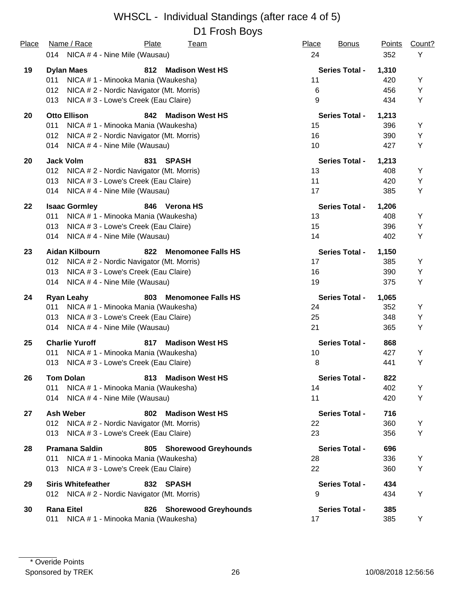| Place | Name / Race<br>Plate<br><b>Team</b><br>014 NICA #4 - Nine Mile (Wausau) | Place<br><b>Bonus</b><br>24 | <b>Points</b><br>352 | Count?<br>Y |
|-------|-------------------------------------------------------------------------|-----------------------------|----------------------|-------------|
|       |                                                                         |                             |                      |             |
| 19    | <b>Dylan Maes</b><br>812<br><b>Madison West HS</b>                      | <b>Series Total -</b>       | 1,310                |             |
|       | NICA # 1 - Minooka Mania (Waukesha)<br>011                              | 11                          | 420                  | Υ           |
|       | 012<br>NICA # 2 - Nordic Navigator (Mt. Morris)                         | 6                           | 456                  | Υ           |
|       | NICA # 3 - Lowe's Creek (Eau Claire)<br>013                             | 9                           | 434                  | Υ           |
| 20    | <b>Otto Ellison</b><br><b>Madison West HS</b><br>842                    | <b>Series Total -</b>       | 1,213                |             |
|       | NICA # 1 - Minooka Mania (Waukesha)<br>011                              | 15                          | 396                  | Y           |
|       | 012<br>NICA # 2 - Nordic Navigator (Mt. Morris)                         | 16                          | 390                  | Υ           |
|       | NICA #4 - Nine Mile (Wausau)<br>014                                     | 10                          | 427                  | Υ           |
| 20    | <b>Jack Volm</b><br>831<br><b>SPASH</b>                                 | <b>Series Total -</b>       | 1,213                |             |
|       | 012<br>NICA # 2 - Nordic Navigator (Mt. Morris)                         | 13                          | 408                  | Υ           |
|       | NICA # 3 - Lowe's Creek (Eau Claire)<br>013                             | 11                          | 420                  | Υ           |
|       | NICA #4 - Nine Mile (Wausau)<br>014                                     | 17                          | 385                  | Υ           |
| 22    | <b>Isaac Gormley</b><br>846 Verona HS                                   | <b>Series Total -</b>       | 1,206                |             |
|       | 011<br>NICA # 1 - Minooka Mania (Waukesha)                              | 13                          | 408                  | Υ           |
|       | 013<br>NICA # 3 - Lowe's Creek (Eau Claire)                             | 15                          | 396                  | Υ           |
|       | NICA #4 - Nine Mile (Wausau)<br>014                                     | 14                          | 402                  | Υ           |
| 23    | Aidan Kilbourn<br>822<br><b>Menomonee Falls HS</b>                      | <b>Series Total -</b>       | 1,150                |             |
|       | 012<br>NICA # 2 - Nordic Navigator (Mt. Morris)                         | 17                          | 385                  | Υ           |
|       | 013<br>NICA # 3 - Lowe's Creek (Eau Claire)                             | 16                          | 390                  | Υ           |
|       | NICA #4 - Nine Mile (Wausau)<br>014                                     | 19                          | 375                  | Y           |
| 24    | 803<br><b>Menomonee Falls HS</b><br><b>Ryan Leahy</b>                   | <b>Series Total -</b>       | 1,065                |             |
|       | 011<br>NICA # 1 - Minooka Mania (Waukesha)                              | 24                          | 352                  | Y           |
|       | NICA # 3 - Lowe's Creek (Eau Claire)<br>013                             | 25                          | 348                  | Υ           |
|       | NICA #4 - Nine Mile (Wausau)<br>014                                     | 21                          | 365                  | Y           |
| 25    | <b>Charlie Yuroff</b><br>817<br><b>Madison West HS</b>                  | <b>Series Total -</b>       | 868                  |             |
|       | 011<br>NICA # 1 - Minooka Mania (Waukesha)                              | 10                          | 427                  | Υ           |
|       | 013<br>NICA # 3 - Lowe's Creek (Eau Claire)                             | 8                           | 441                  | Υ           |
| 26    | <b>Madison West HS</b><br><b>Tom Dolan</b><br>813                       | <b>Series Total -</b>       | 822                  |             |
|       | 011<br>NICA # 1 - Minooka Mania (Waukesha)                              | 14                          | 402                  | Y           |
|       | NICA # 4 - Nine Mile (Wausau)<br>014                                    | 11                          | 420                  | Υ           |
| 27    | <b>Ash Weber</b><br>802<br><b>Madison West HS</b>                       | <b>Series Total -</b>       | 716                  |             |
|       | NICA # 2 - Nordic Navigator (Mt. Morris)<br>012                         | 22                          | 360                  | Y           |
|       | NICA # 3 - Lowe's Creek (Eau Claire)<br>013                             | 23                          | 356                  | Υ           |
| 28    | <b>Pramana Saldin</b><br>805 Shorewood Greyhounds                       | <b>Series Total -</b>       | 696                  |             |
|       | NICA # 1 - Minooka Mania (Waukesha)<br>011                              | 28                          | 336                  | Y           |
|       | NICA # 3 - Lowe's Creek (Eau Claire)<br>013                             | 22                          | 360                  | Y           |
| 29    | <b>Siris Whitefeather</b><br>832 SPASH                                  | <b>Series Total -</b>       | 434                  |             |
|       | 012 NICA # 2 - Nordic Navigator (Mt. Morris)                            | 9                           | 434                  | Y           |
| 30    | <b>Rana Eitel</b><br>826 Shorewood Greyhounds                           | <b>Series Total -</b>       | 385                  |             |
|       | 011<br>NICA # 1 - Minooka Mania (Waukesha)                              | 17                          | 385                  | Y           |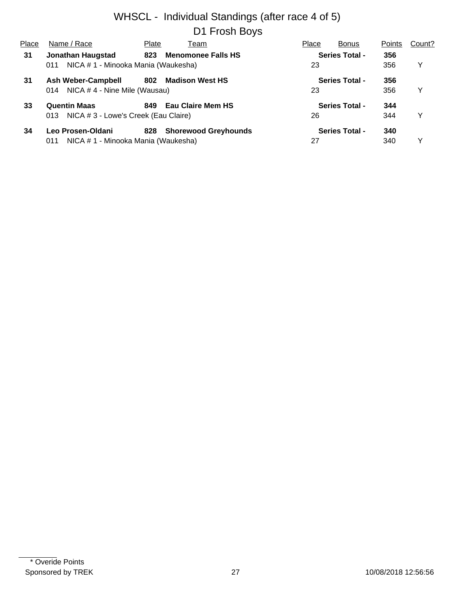| Place | Name / Race                                 | Plate | Team                        | Place | <b>Bonus</b>          | Points | Count? |
|-------|---------------------------------------------|-------|-----------------------------|-------|-----------------------|--------|--------|
| 31    | <b>Jonathan Haugstad</b>                    | 823   | <b>Menomonee Falls HS</b>   |       | <b>Series Total -</b> | 356    |        |
|       | NICA # 1 - Minooka Mania (Waukesha)<br>011  |       |                             | 23    |                       | 356    | Y      |
| 31    | <b>Ash Weber-Campbell</b>                   | 802   | <b>Madison West HS</b>      |       | <b>Series Total -</b> | 356    |        |
|       | NICA #4 - Nine Mile (Wausau)<br>014         |       |                             | 23    |                       | 356    | v      |
| 33    | <b>Quentin Maas</b>                         | 849   | <b>Eau Claire Mem HS</b>    |       | <b>Series Total -</b> | 344    |        |
|       | NICA # 3 - Lowe's Creek (Eau Claire)<br>013 |       |                             | 26    |                       | 344    | v      |
| 34    | Leo Prosen-Oldani                           | 828   | <b>Shorewood Greyhounds</b> |       | <b>Series Total -</b> | 340    |        |
|       | NICA # 1 - Minooka Mania (Waukesha)<br>011  |       |                             | 27    |                       | 340    | v      |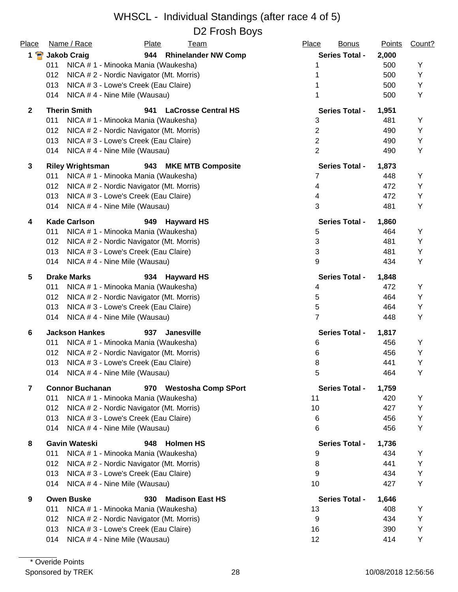| Place          | Name / Race<br>Plate<br><u>Team</u>                        | Place<br><b>Bonus</b> | <b>Points</b> | Count? |
|----------------|------------------------------------------------------------|-----------------------|---------------|--------|
| $1$ $\bullet$  | 944 Rhinelander NW Comp<br><b>Jakob Craig</b>              | <b>Series Total -</b> | 2,000         |        |
|                | NICA # 1 - Minooka Mania (Waukesha)<br>011                 |                       | 500           | Υ      |
|                | 012<br>NICA # 2 - Nordic Navigator (Mt. Morris)            |                       | 500           | Y      |
|                | 013<br>NICA # 3 - Lowe's Creek (Eau Claire)                |                       | 500           | Y      |
|                | 014<br>NICA #4 - Nine Mile (Wausau)                        |                       | 500           | Υ      |
| $\mathbf{2}$   | <b>Therin Smith</b><br>941<br><b>LaCrosse Central HS</b>   | <b>Series Total -</b> | 1,951         |        |
|                | 011<br>NICA # 1 - Minooka Mania (Waukesha)                 | 3                     | 481           | Υ      |
|                | 012<br>NICA # 2 - Nordic Navigator (Mt. Morris)            | $\overline{2}$        | 490           | Υ      |
|                | 013<br>NICA # 3 - Lowe's Creek (Eau Claire)                | $\overline{2}$        | 490           | Υ      |
|                | NICA # 4 - Nine Mile (Wausau)<br>014                       | $\overline{2}$        | 490           | Υ      |
| 3              | <b>MKE MTB Composite</b><br><b>Riley Wrightsman</b><br>943 | <b>Series Total -</b> | 1,873         |        |
|                | 011<br>NICA # 1 - Minooka Mania (Waukesha)                 | 7                     | 448           | Υ      |
|                | 012<br>NICA # 2 - Nordic Navigator (Mt. Morris)            | 4                     | 472           | Y      |
|                | 013<br>NICA # 3 - Lowe's Creek (Eau Claire)                | 4                     | 472           | Υ      |
|                | NICA #4 - Nine Mile (Wausau)<br>014                        | 3                     | 481           | Υ      |
| 4              | <b>Kade Carlson</b><br>949<br><b>Hayward HS</b>            | <b>Series Total -</b> | 1,860         |        |
|                | NICA # 1 - Minooka Mania (Waukesha)<br>011                 | 5                     | 464           | Y      |
|                | 012<br>NICA # 2 - Nordic Navigator (Mt. Morris)            | 3                     | 481           | Υ      |
|                | 013<br>NICA # 3 - Lowe's Creek (Eau Claire)                | 3                     | 481           | Υ      |
|                | NICA #4 - Nine Mile (Wausau)<br>014                        | 9                     | 434           | Υ      |
| 5              | <b>Drake Marks</b><br>934<br><b>Hayward HS</b>             | <b>Series Total -</b> | 1,848         |        |
|                | 011<br>NICA # 1 - Minooka Mania (Waukesha)                 | 4                     | 472           | Y      |
|                | 012<br>NICA # 2 - Nordic Navigator (Mt. Morris)            | 5                     | 464           | Υ      |
|                | 013<br>NICA # 3 - Lowe's Creek (Eau Claire)                | 5                     | 464           | Y      |
|                | NICA #4 - Nine Mile (Wausau)<br>014                        | 7                     | 448           | Υ      |
| 6              | <b>Jackson Hankes</b><br>937<br><b>Janesville</b>          | <b>Series Total -</b> | 1,817         |        |
|                | 011<br>NICA # 1 - Minooka Mania (Waukesha)                 | 6                     | 456           | Υ      |
|                | 012<br>NICA # 2 - Nordic Navigator (Mt. Morris)            | 6                     | 456           | Υ      |
|                | NICA # 3 - Lowe's Creek (Eau Claire)<br>013                | 8                     | 441           | Υ      |
|                | 014 NICA #4 - Nine Mile (Wausau)                           | 5                     | 464           | Υ      |
| $\overline{7}$ | <b>Connor Buchanan</b><br>970 Westosha Comp SPort          | <b>Series Total -</b> | 1,759         |        |
|                | NICA # 1 - Minooka Mania (Waukesha)<br>011                 | 11                    | 420           | Υ      |
|                | 012<br>NICA # 2 - Nordic Navigator (Mt. Morris)            | 10                    | 427           | Υ      |
|                | 013<br>NICA # 3 - Lowe's Creek (Eau Claire)                | 6                     | 456           | Υ      |
|                | 014<br>NICA #4 - Nine Mile (Wausau)                        | 6                     | 456           | Y      |
| 8              | <b>Gavin Wateski</b><br>948<br><b>Holmen HS</b>            | <b>Series Total -</b> | 1,736         |        |
|                | 011<br>NICA # 1 - Minooka Mania (Waukesha)                 | 9                     | 434           | Y      |
|                | 012<br>NICA # 2 - Nordic Navigator (Mt. Morris)            | 8                     | 441           | Υ      |
|                | 013<br>NICA # 3 - Lowe's Creek (Eau Claire)                | 9                     | 434           | Υ      |
|                | 014<br>NICA #4 - Nine Mile (Wausau)                        | 10                    | 427           | Υ      |
| 9              | <b>Owen Buske</b><br>930<br><b>Madison East HS</b>         | <b>Series Total -</b> | 1,646         |        |
|                | 011<br>NICA # 1 - Minooka Mania (Waukesha)                 | 13                    | 408           | Y      |
|                | 012<br>NICA # 2 - Nordic Navigator (Mt. Morris)            | 9                     | 434           | Y      |
|                | 013<br>NICA # 3 - Lowe's Creek (Eau Claire)                | 16                    | 390           | Υ      |
|                | NICA #4 - Nine Mile (Wausau)<br>014                        | 12                    | 414           | Υ      |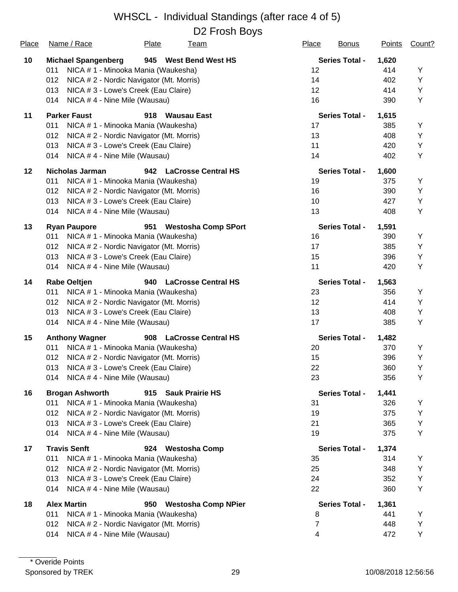| Place | Name / Race                                         | Plate                                    | <u>Team</u>                | Place | <b>Bonus</b>          | <b>Points</b> | Count? |
|-------|-----------------------------------------------------|------------------------------------------|----------------------------|-------|-----------------------|---------------|--------|
| 10    | <b>Michael Spangenberg</b><br>945 West Bend West HS |                                          |                            |       | <b>Series Total -</b> | 1,620         |        |
|       | 011                                                 | NICA # 1 - Minooka Mania (Waukesha)      |                            | 12    |                       | 414           | Y      |
|       | 012                                                 | NICA # 2 - Nordic Navigator (Mt. Morris) |                            | 14    |                       | 402           | Υ      |
|       | 013                                                 | NICA # 3 - Lowe's Creek (Eau Claire)     |                            | 12    |                       | 414           | Υ      |
|       | 014                                                 | NICA #4 - Nine Mile (Wausau)             |                            | 16    |                       | 390           | Υ      |
| 11    | <b>Parker Faust</b>                                 | 918                                      | <b>Wausau East</b>         |       | <b>Series Total -</b> | 1,615         |        |
|       | 011                                                 | NICA # 1 - Minooka Mania (Waukesha)      |                            | 17    |                       | 385           | Υ      |
|       | 012                                                 | NICA # 2 - Nordic Navigator (Mt. Morris) |                            | 13    |                       | 408           | Y      |
|       | 013                                                 | NICA # 3 - Lowe's Creek (Eau Claire)     |                            | 11    |                       | 420           | Υ      |
|       | 014                                                 | NICA #4 - Nine Mile (Wausau)             |                            | 14    |                       | 402           | Υ      |
| 12    | <b>Nicholas Jarman</b>                              | 942                                      | <b>LaCrosse Central HS</b> |       | <b>Series Total -</b> | 1,600         |        |
|       | 011                                                 | NICA # 1 - Minooka Mania (Waukesha)      |                            | 19    |                       | 375           | Y      |
|       | 012                                                 | NICA # 2 - Nordic Navigator (Mt. Morris) |                            | 16    |                       | 390           | Y      |
|       | 013                                                 | NICA # 3 - Lowe's Creek (Eau Claire)     |                            | 10    |                       | 427           | Υ      |
|       | 014                                                 | NICA #4 - Nine Mile (Wausau)             |                            | 13    |                       | 408           | Υ      |
| 13    | <b>Ryan Paupore</b>                                 | 951                                      | <b>Westosha Comp SPort</b> |       | <b>Series Total -</b> | 1,591         |        |
|       | 011                                                 | NICA # 1 - Minooka Mania (Waukesha)      |                            | 16    |                       | 390           | Y      |
|       | 012                                                 | NICA # 2 - Nordic Navigator (Mt. Morris) |                            | 17    |                       | 385           | Υ      |
|       | 013                                                 | NICA # 3 - Lowe's Creek (Eau Claire)     |                            | 15    |                       | 396           | Υ      |
|       | 014                                                 | NICA #4 - Nine Mile (Wausau)             |                            | 11    |                       | 420           | Υ      |
| 14    | <b>Rabe Oeltjen</b>                                 |                                          | 940 LaCrosse Central HS    |       | <b>Series Total -</b> | 1,563         |        |
|       | 011                                                 | NICA # 1 - Minooka Mania (Waukesha)      |                            | 23    |                       | 356           | Υ      |
|       | 012                                                 | NICA # 2 - Nordic Navigator (Mt. Morris) |                            | 12    |                       | 414           | Y      |
|       | 013                                                 | NICA # 3 - Lowe's Creek (Eau Claire)     |                            | 13    |                       | 408           | Υ      |
|       | 014                                                 | NICA #4 - Nine Mile (Wausau)             |                            | 17    |                       | 385           | Υ      |
| 15    | <b>Anthony Wagner</b>                               | 908                                      | <b>LaCrosse Central HS</b> |       | <b>Series Total -</b> | 1,482         |        |
|       | 011                                                 | NICA # 1 - Minooka Mania (Waukesha)      |                            | 20    |                       | 370           | Υ      |
|       | 012                                                 | NICA # 2 - Nordic Navigator (Mt. Morris) |                            | 15    |                       | 396           | Υ      |
|       | 013                                                 | NICA # 3 - Lowe's Creek (Eau Claire)     |                            | 22    |                       | 360           | Υ      |
|       | 014 NICA # 4 - Nine Mile (Wausau)                   |                                          |                            | 23    |                       | 356           | Υ      |
| 16    | <b>Brogan Ashworth</b>                              |                                          | 915 Sauk Prairie HS        |       | <b>Series Total -</b> | 1,441         |        |
|       | 011                                                 | NICA # 1 - Minooka Mania (Waukesha)      |                            | 31    |                       | 326           | Υ      |
|       | 012                                                 | NICA # 2 - Nordic Navigator (Mt. Morris) |                            | 19    |                       | 375           | Υ      |
|       | 013                                                 | NICA # 3 - Lowe's Creek (Eau Claire)     |                            | 21    |                       | 365           | Y      |
|       | 014                                                 | NICA #4 - Nine Mile (Wausau)             |                            | 19    |                       | 375           | Υ      |
| 17    | <b>Travis Senft</b>                                 |                                          | 924 Westosha Comp          |       | <b>Series Total -</b> | 1,374         |        |
|       | 011                                                 | NICA # 1 - Minooka Mania (Waukesha)      |                            | 35    |                       | 314           | Y      |
|       | 012                                                 | NICA # 2 - Nordic Navigator (Mt. Morris) |                            | 25    |                       | 348           | Υ      |
|       | 013                                                 | NICA # 3 - Lowe's Creek (Eau Claire)     |                            | 24    |                       | 352           | Υ      |
|       | 014                                                 | NICA #4 - Nine Mile (Wausau)             |                            | 22    |                       | 360           | Υ      |
| 18    | <b>Alex Martin</b>                                  |                                          | 950 Westosha Comp NPier    |       | <b>Series Total -</b> | 1,361         |        |
|       | 011                                                 | NICA # 1 - Minooka Mania (Waukesha)      |                            | 8     |                       | 441           | Y      |
|       | 012                                                 | NICA # 2 - Nordic Navigator (Mt. Morris) |                            | 7     |                       | 448           | Υ      |
|       | 014                                                 | NICA # 4 - Nine Mile (Wausau)            |                            | 4     |                       | 472           | Υ      |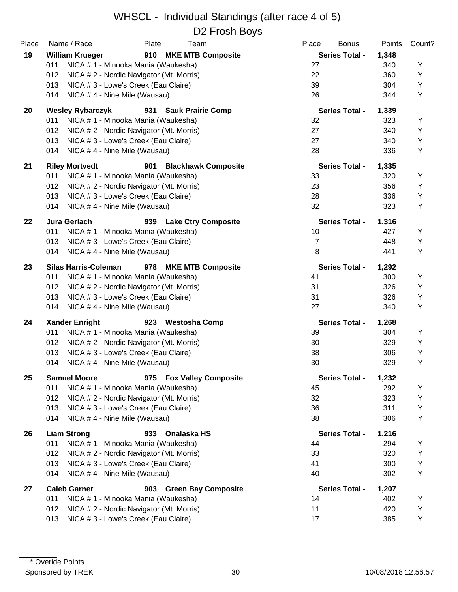| Place | Name / Race                                 | Plate<br><u>Team</u>                     | Place<br><b>Bonus</b> | <b>Points</b> | Count? |
|-------|---------------------------------------------|------------------------------------------|-----------------------|---------------|--------|
| 19    | <b>William Krueger</b>                      | 910 MKE MTB Composite                    | <b>Series Total -</b> | 1,348         |        |
|       | 011<br>NICA # 1 - Minooka Mania (Waukesha)  |                                          | 27                    | 340           | Υ      |
|       | 012                                         | NICA # 2 - Nordic Navigator (Mt. Morris) | 22                    | 360           | Y      |
|       | NICA # 3 - Lowe's Creek (Eau Claire)<br>013 |                                          | 39                    | 304           | Υ      |
|       | 014<br>NICA #4 - Nine Mile (Wausau)         |                                          | 26                    | 344           | Y      |
| 20    | <b>Wesley Rybarczyk</b>                     | 931<br><b>Sauk Prairie Comp</b>          | <b>Series Total -</b> | 1,339         |        |
|       | 011                                         | NICA # 1 - Minooka Mania (Waukesha)      | 32                    | 323           | Y      |
|       | 012                                         | NICA # 2 - Nordic Navigator (Mt. Morris) | 27                    | 340           | Υ      |
|       | 013<br>NICA # 3 - Lowe's Creek (Eau Claire) |                                          | 27                    | 340           | Υ      |
|       | 014<br>NICA #4 - Nine Mile (Wausau)         |                                          | 28                    | 336           | Υ      |
| 21    | <b>Riley Mortvedt</b>                       | 901<br><b>Blackhawk Composite</b>        | <b>Series Total -</b> | 1,335         |        |
|       | 011<br>NICA # 1 - Minooka Mania (Waukesha)  |                                          | 33                    | 320           | Y      |
|       | 012                                         | NICA # 2 - Nordic Navigator (Mt. Morris) | 23                    | 356           | Υ      |
|       | 013<br>NICA # 3 - Lowe's Creek (Eau Claire) |                                          | 28                    | 336           | Υ      |
|       | NICA #4 - Nine Mile (Wausau)<br>014         |                                          | 32                    | 323           | Υ      |
| 22    | Jura Gerlach                                | 939 Lake Ctry Composite                  | <b>Series Total -</b> | 1,316         |        |
|       | NICA #1 - Minooka Mania (Waukesha)<br>011   |                                          | 10                    | 427           | Υ      |
|       | 013<br>NICA # 3 - Lowe's Creek (Eau Claire) |                                          | $\overline{7}$        | 448           | Υ      |
|       | NICA #4 - Nine Mile (Wausau)<br>014         |                                          | 8                     | 441           | Υ      |
| 23    | <b>Silas Harris-Coleman</b>                 | 978 MKE MTB Composite                    | <b>Series Total -</b> | 1,292         |        |
|       | 011<br>NICA # 1 - Minooka Mania (Waukesha)  |                                          | 41                    | 300           | Y      |
|       | 012                                         | NICA # 2 - Nordic Navigator (Mt. Morris) | 31                    | 326           | Υ      |
|       | NICA # 3 - Lowe's Creek (Eau Claire)<br>013 |                                          | 31                    | 326           | Υ      |
|       | 014<br>NICA #4 - Nine Mile (Wausau)         |                                          | 27                    | 340           | Υ      |
| 24    | <b>Xander Enright</b>                       | 923 Westosha Comp                        | <b>Series Total -</b> | 1,268         |        |
|       | 011<br>NICA # 1 - Minooka Mania (Waukesha)  |                                          | 39                    | 304           | Y      |
|       | 012                                         | NICA # 2 - Nordic Navigator (Mt. Morris) | 30                    | 329           | Υ      |
|       | 013<br>NICA # 3 - Lowe's Creek (Eau Claire) |                                          | 38                    | 306           | Υ      |
|       | NICA #4 - Nine Mile (Wausau)<br>014         |                                          | 30                    | 329           | Υ      |
| 25    | <b>Samuel Moore</b>                         | 975 Fox Valley Composite                 | <b>Series Total -</b> | 1,232         |        |
|       | 011<br>NICA # 1 - Minooka Mania (Waukesha)  |                                          | 45                    | 292           | Υ      |
|       | 012                                         | NICA # 2 - Nordic Navigator (Mt. Morris) | 32                    | 323           | Υ      |
|       | 013<br>NICA # 3 - Lowe's Creek (Eau Claire) |                                          | 36                    | 311           | Υ      |
|       | 014<br>NICA #4 - Nine Mile (Wausau)         |                                          | 38                    | 306           | Υ      |
| 26    | <b>Liam Strong</b>                          | Onalaska HS<br>933                       | <b>Series Total -</b> | 1,216         |        |
|       | 011<br>NICA # 1 - Minooka Mania (Waukesha)  |                                          | 44                    | 294           | Y      |
|       | 012                                         | NICA #2 - Nordic Navigator (Mt. Morris)  | 33                    | 320           | Υ      |
|       | 013<br>NICA # 3 - Lowe's Creek (Eau Claire) |                                          | 41                    | 300           | Υ      |
|       | 014<br>NICA #4 - Nine Mile (Wausau)         |                                          | 40                    | 302           | Υ      |
| 27    | <b>Caleb Garner</b>                         | 903 Green Bay Composite                  | <b>Series Total -</b> | 1,207         |        |
|       | 011<br>NICA # 1 - Minooka Mania (Waukesha)  |                                          | 14                    | 402           | Υ      |
|       | 012                                         | NICA # 2 - Nordic Navigator (Mt. Morris) | 11                    | 420           | Υ      |
|       | NICA # 3 - Lowe's Creek (Eau Claire)<br>013 |                                          | 17                    | 385           | Υ      |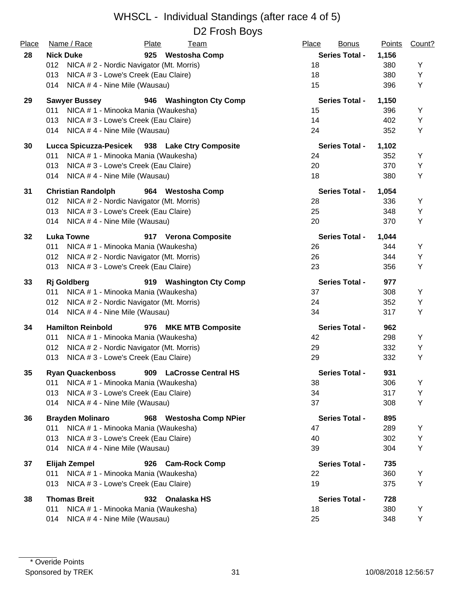| Place<br>28 | Name / Race<br><b>Nick Duke</b>                                                          | Plate<br><u>Team</u><br>925 Westosha Comp      | Place<br><b>Bonus</b><br><b>Series Total -</b> | <b>Points</b><br>1,156 | Count? |
|-------------|------------------------------------------------------------------------------------------|------------------------------------------------|------------------------------------------------|------------------------|--------|
|             | 012<br>NICA # 2 - Nordic Navigator (Mt. Morris)                                          |                                                | 18                                             | 380                    | Y      |
|             | NICA # 3 - Lowe's Creek (Eau Claire)<br>013                                              |                                                | 18                                             | 380                    | Υ      |
|             | 014<br>NICA #4 - Nine Mile (Wausau)                                                      |                                                | 15                                             | 396                    | Y      |
| 29          | <b>Sawyer Bussey</b>                                                                     | 946 Washington Cty Comp                        | <b>Series Total -</b>                          | 1,150                  | Y      |
|             | NICA # 1 - Minooka Mania (Waukesha)<br>011<br>NICA #3 - Lowe's Creek (Eau Claire)<br>013 |                                                | 15<br>14                                       | 396<br>402             | Υ      |
|             | 014<br>NICA #4 - Nine Mile (Wausau)                                                      |                                                | 24                                             | 352                    | Y      |
| 30          |                                                                                          | Lucca Spicuzza-Pesicek 938 Lake Ctry Composite | <b>Series Total -</b>                          | 1,102                  |        |
|             | NICA # 1 - Minooka Mania (Waukesha)<br>011                                               |                                                | 24                                             | 352                    | Y      |
|             | NICA # 3 - Lowe's Creek (Eau Claire)<br>013                                              |                                                | 20                                             | 370                    | Υ      |
|             | 014<br>NICA #4 - Nine Mile (Wausau)                                                      |                                                | 18                                             | 380                    | Y      |
| 31          | <b>Christian Randolph</b>                                                                | 964 Westosha Comp                              | <b>Series Total -</b>                          | 1,054                  |        |
|             | 012<br>NICA #2 - Nordic Navigator (Mt. Morris)                                           |                                                | 28                                             | 336                    | Y      |
|             | NICA # 3 - Lowe's Creek (Eau Claire)<br>013                                              |                                                | 25                                             | 348                    | Y      |
|             | 014<br>NICA #4 - Nine Mile (Wausau)                                                      |                                                | 20                                             | 370                    | Y      |
| 32          | <b>Luka Towne</b>                                                                        | 917 Verona Composite                           | <b>Series Total -</b>                          | 1,044                  |        |
|             | 011<br>NICA # 1 - Minooka Mania (Waukesha)                                               |                                                | 26                                             | 344                    | Y      |
|             | NICA # 2 - Nordic Navigator (Mt. Morris)<br>012                                          |                                                | 26                                             | 344                    | Υ      |
|             | 013<br>NICA # 3 - Lowe's Creek (Eau Claire)                                              |                                                | 23                                             | 356                    | Υ      |
| 33          | <b>Rj</b> Goldberg                                                                       | 919 Washington Cty Comp                        | <b>Series Total -</b>                          | 977                    |        |
|             | NICA # 1 - Minooka Mania (Waukesha)<br>011                                               |                                                | 37                                             | 308                    | Y      |
|             | NICA # 2 - Nordic Navigator (Mt. Morris)<br>012                                          |                                                | 24                                             | 352                    | Υ      |
|             | 014<br>NICA #4 - Nine Mile (Wausau)                                                      |                                                | 34                                             | 317                    | Υ      |
| 34          | <b>Hamilton Reinbold</b>                                                                 | 976 MKE MTB Composite                          | <b>Series Total -</b>                          | 962                    |        |
|             | 011<br>NICA # 1 - Minooka Mania (Waukesha)                                               |                                                | 42                                             | 298                    | Y      |
|             | 012<br>NICA # 2 - Nordic Navigator (Mt. Morris)                                          |                                                | 29                                             | 332                    | Y      |
|             | 013<br>NICA # 3 - Lowe's Creek (Eau Claire)                                              |                                                | 29                                             | 332                    | Y      |
| 35          | <b>Ryan Quackenboss</b>                                                                  | 909 LaCrosse Central HS                        | <b>Series Total -</b>                          | 931                    |        |
|             | NICA # 1 - Minooka Mania (Waukesha)<br>011                                               |                                                | 38                                             | 306                    | Υ      |
|             | NICA # 3 - Lowe's Creek (Eau Claire)<br>013                                              |                                                | 34                                             | 317                    | Υ      |
|             | 014<br>NICA #4 - Nine Mile (Wausau)                                                      |                                                | 37                                             | 308                    | Υ      |
| 36          | <b>Brayden Molinaro</b>                                                                  | 968 Westosha Comp NPier                        | <b>Series Total -</b>                          | 895                    |        |
|             | 011<br>NICA # 1 - Minooka Mania (Waukesha)                                               |                                                | 47                                             | 289                    | Y      |
|             | NICA # 3 - Lowe's Creek (Eau Claire)<br>013                                              |                                                | 40                                             | 302                    | Υ      |
|             | NICA #4 - Nine Mile (Wausau)<br>014                                                      |                                                | 39                                             | 304                    | Υ      |
| 37          | <b>Elijah Zempel</b>                                                                     | 926 Cam-Rock Comp                              | <b>Series Total -</b>                          | 735                    |        |
|             | NICA # 1 - Minooka Mania (Waukesha)<br>011                                               |                                                | 22                                             | 360                    | Y      |
|             | NICA # 3 - Lowe's Creek (Eau Claire)<br>013                                              |                                                | 19                                             | 375                    | Υ      |
| 38          | <b>Thomas Breit</b>                                                                      | 932 Onalaska HS                                | <b>Series Total -</b>                          | 728                    |        |
|             | 011<br>NICA # 1 - Minooka Mania (Waukesha)                                               |                                                | 18                                             | 380                    | Y      |
|             | NICA #4 - Nine Mile (Wausau)<br>014                                                      |                                                | 25                                             | 348                    | Υ      |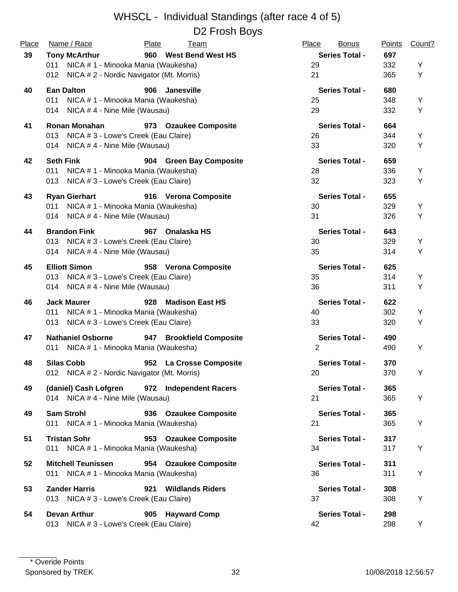| Place | Name / Race                                     | Plate<br><u>Team</u>          | Place<br><b>Bonus</b> | <b>Points</b> | Count? |
|-------|-------------------------------------------------|-------------------------------|-----------------------|---------------|--------|
| 39    | <b>Tony McArthur</b>                            | 960 West Bend West HS         | <b>Series Total -</b> | 697           |        |
|       | NICA # 1 - Minooka Mania (Waukesha)<br>011      |                               | 29                    | 332           | Y      |
|       | NICA # 2 - Nordic Navigator (Mt. Morris)<br>012 |                               | 21                    | 365           | Y      |
| 40    | <b>Ean Dalton</b>                               | 906<br>Janesville             | <b>Series Total -</b> | 680           |        |
|       | 011<br>NICA # 1 - Minooka Mania (Waukesha)      |                               | 25                    | 348           | Y      |
|       | NICA #4 - Nine Mile (Wausau)<br>014             |                               | 29                    | 332           | Y      |
| 41    | <b>Ronan Monahan</b>                            | 973 Ozaukee Composite         | <b>Series Total -</b> | 664           |        |
|       | NICA # 3 - Lowe's Creek (Eau Claire)<br>013     |                               | 26                    | 344           | Y      |
|       | NICA #4 - Nine Mile (Wausau)<br>014             |                               | 33                    | 320           | Υ      |
| 42    | <b>Seth Fink</b>                                | 904 Green Bay Composite       | <b>Series Total -</b> | 659           |        |
|       | 011<br>NICA # 1 - Minooka Mania (Waukesha)      |                               | 28                    | 336           | Υ      |
|       | NICA # 3 - Lowe's Creek (Eau Claire)<br>013     |                               | 32                    | 323           | Υ      |
| 43    | <b>Ryan Gierhart</b>                            | 916 Verona Composite          | <b>Series Total -</b> | 655           |        |
|       | NICA # 1 - Minooka Mania (Waukesha)<br>011      |                               | 30                    | 329           | Υ      |
|       | NICA #4 - Nine Mile (Wausau)<br>014             |                               | 31                    | 326           | Y      |
| 44    | <b>Brandon Fink</b>                             | 967 Onalaska HS               | <b>Series Total -</b> | 643           |        |
|       | NICA # 3 - Lowe's Creek (Eau Claire)<br>013     |                               | 30                    | 329           | Υ      |
|       | 014 NICA #4 - Nine Mile (Wausau)                |                               | 35                    | 314           | Υ      |
| 45    | <b>Elliott Simon</b>                            | 958 Verona Composite          | <b>Series Total -</b> | 625           |        |
|       | NICA # 3 - Lowe's Creek (Eau Claire)<br>013     |                               | 35                    | 314           | Υ      |
|       | NICA #4 - Nine Mile (Wausau)<br>014             |                               | 36                    | 311           | Υ      |
| 46    | <b>Jack Maurer</b>                              | <b>Madison East HS</b><br>928 | <b>Series Total -</b> | 622           |        |
|       | NICA # 1 - Minooka Mania (Waukesha)<br>011      |                               | 40                    | 302           | Υ      |
|       | NICA # 3 - Lowe's Creek (Eau Claire)<br>013     |                               | 33                    | 320           | Υ      |
| 47    | <b>Nathaniel Osborne</b>                        | 947 Brookfield Composite      | <b>Series Total -</b> | 490           |        |
|       | 011 NICA # 1 - Minooka Mania (Waukesha)         |                               | 2                     | 490           | Υ      |
| 48    | <b>Silas Cobb</b>                               | 952 La Crosse Composite       | <b>Series Total -</b> | 370           |        |
|       | 012 NICA # 2 - Nordic Navigator (Mt. Morris)    |                               | 20                    | 370           | Y      |
| 49    | (daniel) Cash Lofgren                           | 972 Independent Racers        | <b>Series Total -</b> | 365           |        |
|       | 014 NICA #4 - Nine Mile (Wausau)                |                               | 21                    | 365           | Υ      |
| 49    | <b>Sam Strohl</b>                               | 936 Ozaukee Composite         | <b>Series Total -</b> | 365           |        |
|       | 011 NICA # 1 - Minooka Mania (Waukesha)         |                               | 21                    | 365           | Υ      |
| 51    | <b>Tristan Sohr</b>                             | 953 Ozaukee Composite         | <b>Series Total -</b> | 317           |        |
|       | 011 NICA #1 - Minooka Mania (Waukesha)          |                               | 34                    | 317           | Y      |
| 52    | <b>Mitchell Teunissen</b>                       | 954 Ozaukee Composite         | <b>Series Total -</b> | 311           |        |
|       | 011 NICA # 1 - Minooka Mania (Waukesha)         |                               | 36                    | 311           | Y      |
| 53    | <b>Zander Harris</b>                            | 921 Wildlands Riders          | <b>Series Total -</b> | 308           |        |
|       | 013 NICA # 3 - Lowe's Creek (Eau Claire)        |                               | 37                    | 308           | Υ      |
| 54    | <b>Devan Arthur</b>                             | 905 Hayward Comp              | <b>Series Total -</b> | 298           |        |
|       | 013 NICA # 3 - Lowe's Creek (Eau Claire)        |                               | 42                    | 298           | Y      |
|       |                                                 |                               |                       |               |        |